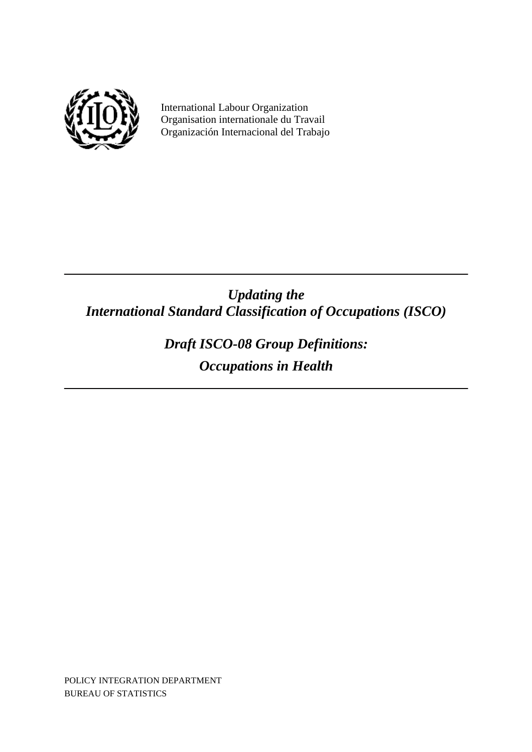

 International Labour Organization Organisation internationale du Travail Organización Internacional del Trabajo

# *Updating the International Standard Classification of Occupations (ISCO)*

*Draft ISCO-08 Group Definitions: Occupations in Health* 

POLICY INTEGRATION DEPARTMENT BUREAU OF STATISTICS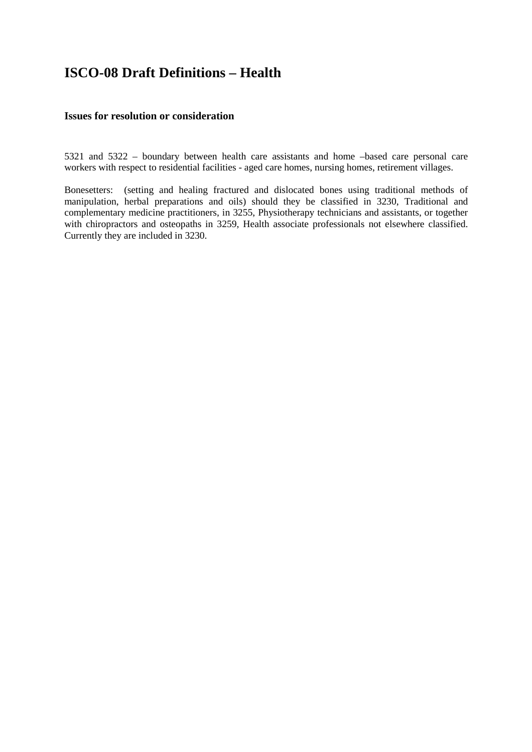# **ISCO-08 Draft Definitions – Health**

## **Issues for resolution or consideration**

5321 and 5322 – boundary between health care assistants and home –based care personal care workers with respect to residential facilities - aged care homes, nursing homes, retirement villages.

Bonesetters: (setting and healing fractured and dislocated bones using traditional methods of manipulation, herbal preparations and oils) should they be classified in 3230, Traditional and complementary medicine practitioners, in 3255, Physiotherapy technicians and assistants, or together with chiropractors and osteopaths in 3259, Health associate professionals not elsewhere classified. Currently they are included in 3230.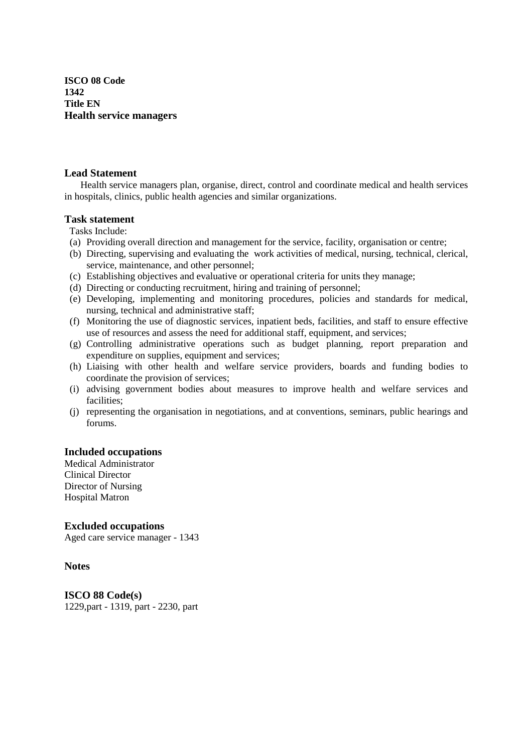**ISCO 08 Code 1342 Title EN Health service managers**

## **Lead Statement**

 Health service managers plan, organise, direct, control and coordinate medical and health services in hospitals, clinics, public health agencies and similar organizations.

## **Task statement**

- Tasks Include:
- (a) Providing overall direction and management for the service, facility, organisation or centre;
- (b) Directing, supervising and evaluating the work activities of medical, nursing, technical, clerical, service, maintenance, and other personnel;
- (c) Establishing objectives and evaluative or operational criteria for units they manage;
- (d) Directing or conducting recruitment, hiring and training of personnel;
- (e) Developing, implementing and monitoring procedures, policies and standards for medical, nursing, technical and administrative staff;
- (f) Monitoring the use of diagnostic services, inpatient beds, facilities, and staff to ensure effective use of resources and assess the need for additional staff, equipment, and services;
- (g) Controlling administrative operations such as budget planning, report preparation and expenditure on supplies, equipment and services;
- (h) Liaising with other health and welfare service providers, boards and funding bodies to coordinate the provision of services;
- (i) advising government bodies about measures to improve health and welfare services and facilities;
- (j) representing the organisation in negotiations, and at conventions, seminars, public hearings and forums.

## **Included occupations**

Medical Administrator Clinical Director Director of Nursing Hospital Matron

**Excluded occupations** 

Aged care service manager - 1343

#### **Notes**

**ISCO 88 Code(s)**  1229,part - 1319, part - 2230, part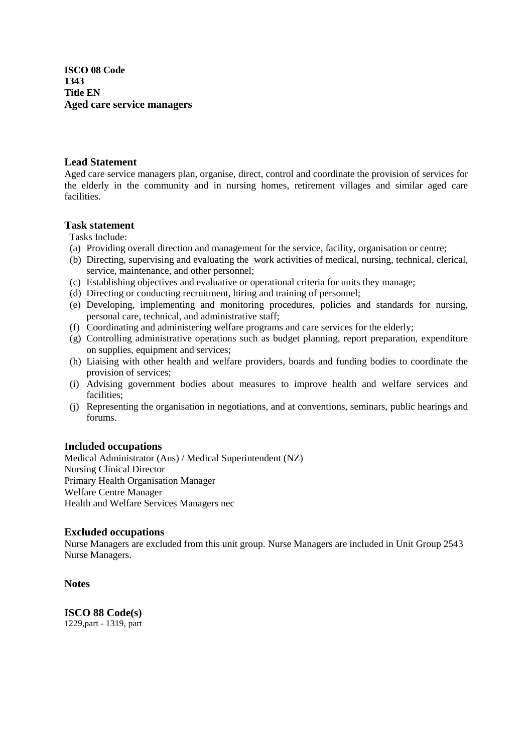**ISCO 08 Code 1343 Title EN Aged care service managers**

## **Lead Statement**

Aged care service managers plan, organise, direct, control and coordinate the provision of services for the elderly in the community and in nursing homes, retirement villages and similar aged care facilities.

# **Task statement**

Tasks Include:

- (a) Providing overall direction and management for the service, facility, organisation or centre;
- (b) Directing, supervising and evaluating the work activities of medical, nursing, technical, clerical, service, maintenance, and other personnel;
- (c) Establishing objectives and evaluative or operational criteria for units they manage;
- (d) Directing or conducting recruitment, hiring and training of personnel;
- (e) Developing, implementing and monitoring procedures, policies and standards for nursing, personal care, technical, and administrative staff;
- (f) Coordinating and administering welfare programs and care services for the elderly;
- (g) Controlling administrative operations such as budget planning, report preparation, expenditure on supplies, equipment and services;
- (h) Liaising with other health and welfare providers, boards and funding bodies to coordinate the provision of services;
- (i) Advising government bodies about measures to improve health and welfare services and facilities;
- (j) Representing the organisation in negotiations, and at conventions, seminars, public hearings and forums.

## **Included occupations**

Medical Administrator (Aus) / Medical Superintendent (NZ) Nursing Clinical Director Primary Health Organisation Manager Welfare Centre Manager Health and Welfare Services Managers nec

## **Excluded occupations**

Nurse Managers are excluded from this unit group. Nurse Managers are included in Unit Group 2543 Nurse Managers.

## **Notes**

**ISCO 88 Code(s)**  1229,part - 1319, part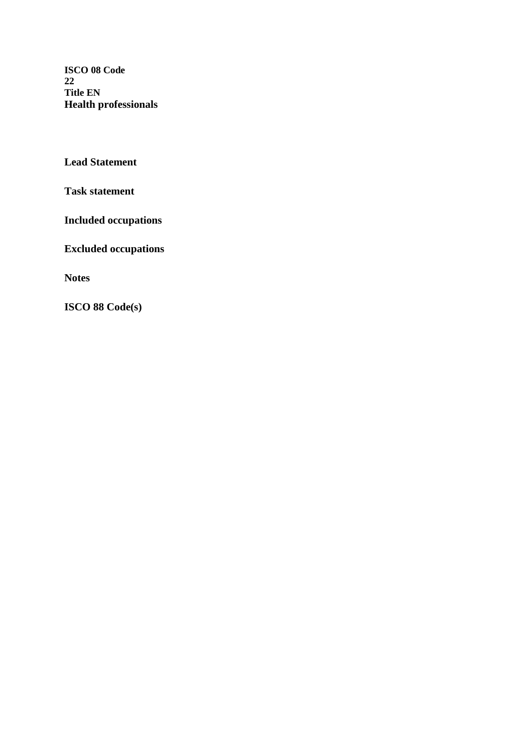**ISCO 08 Code 22 Title EN Health professionals**

**Lead Statement** 

**Task statement** 

**Included occupations** 

**Excluded occupations** 

**Notes**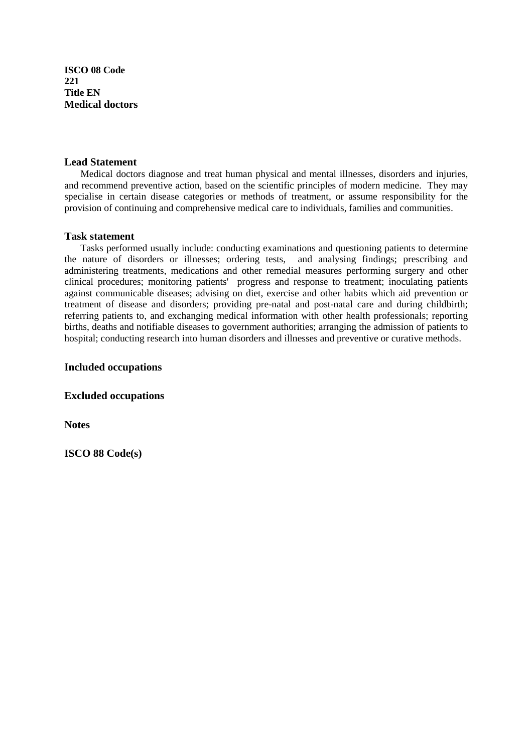**ISCO 08 Code 221 Title EN Medical doctors**

#### **Lead Statement**

Medical doctors diagnose and treat human physical and mental illnesses, disorders and injuries, and recommend preventive action, based on the scientific principles of modern medicine. They may specialise in certain disease categories or methods of treatment, or assume responsibility for the provision of continuing and comprehensive medical care to individuals, families and communities.

#### **Task statement**

 Tasks performed usually include: conducting examinations and questioning patients to determine the nature of disorders or illnesses; ordering tests, and analysing findings; prescribing and administering treatments, medications and other remedial measures performing surgery and other clinical procedures; monitoring patients' progress and response to treatment; inoculating patients against communicable diseases; advising on diet, exercise and other habits which aid prevention or treatment of disease and disorders; providing pre-natal and post-natal care and during childbirth; referring patients to, and exchanging medical information with other health professionals; reporting births, deaths and notifiable diseases to government authorities; arranging the admission of patients to hospital; conducting research into human disorders and illnesses and preventive or curative methods.

## **Included occupations**

**Excluded occupations** 

**Notes**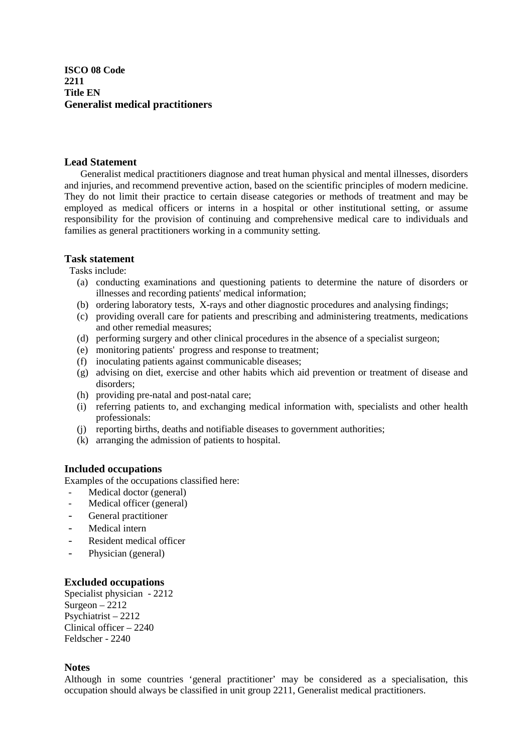**ISCO 08 Code 2211 Title EN Generalist medical practitioners** 

#### **Lead Statement**

 Generalist medical practitioners diagnose and treat human physical and mental illnesses, disorders and injuries, and recommend preventive action, based on the scientific principles of modern medicine. They do not limit their practice to certain disease categories or methods of treatment and may be employed as medical officers or interns in a hospital or other institutional setting, or assume responsibility for the provision of continuing and comprehensive medical care to individuals and families as general practitioners working in a community setting.

## **Task statement**

Tasks include:

- (a) conducting examinations and questioning patients to determine the nature of disorders or illnesses and recording patients' medical information;
- (b) ordering laboratory tests, X-rays and other diagnostic procedures and analysing findings;
- (c) providing overall care for patients and prescribing and administering treatments, medications and other remedial measures;
- (d) performing surgery and other clinical procedures in the absence of a specialist surgeon;
- (e) monitoring patients' progress and response to treatment;
- (f) inoculating patients against communicable diseases;
- (g) advising on diet, exercise and other habits which aid prevention or treatment of disease and disorders;
- (h) providing pre-natal and post-natal care;
- (i) referring patients to, and exchanging medical information with, specialists and other health professionals:
- (j) reporting births, deaths and notifiable diseases to government authorities;
- (k) arranging the admission of patients to hospital.

#### **Included occupations**

Examples of the occupations classified here:

- Medical doctor (general)
- Medical officer (general)
- General practitioner
- Medical intern
- Resident medical officer
- Physician (general)

#### **Excluded occupations**

Specialist physician - 2212  $S$ urgeon – 2212 Psychiatrist – 2212 Clinical officer – 2240 Feldscher - 2240

#### **Notes**

Although in some countries 'general practitioner' may be considered as a specialisation, this occupation should always be classified in unit group 2211, Generalist medical practitioners.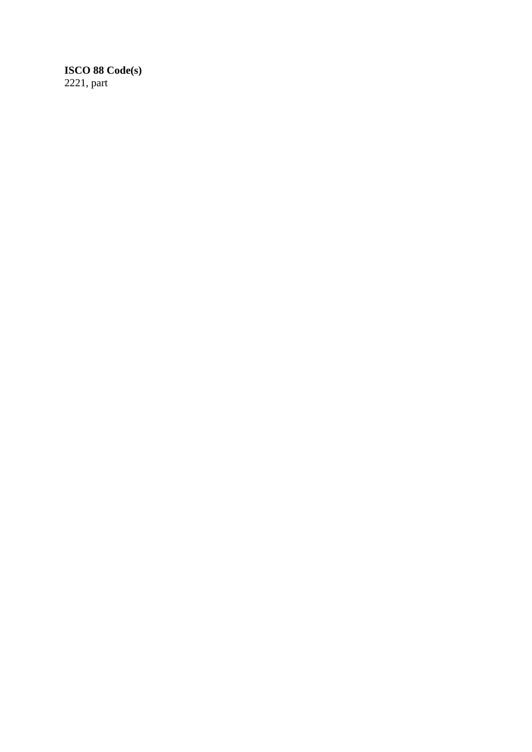# **ISCO 88 Code(s)**  2221, part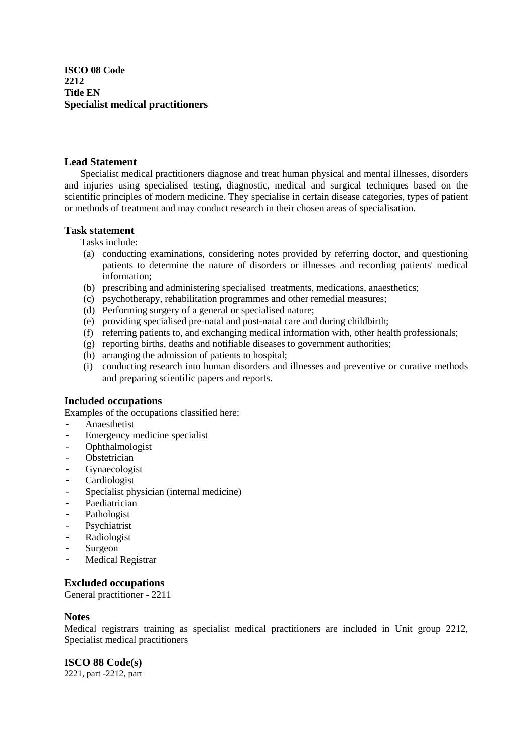**ISCO 08 Code 2212 Title EN Specialist medical practitioners** 

## **Lead Statement**

 Specialist medical practitioners diagnose and treat human physical and mental illnesses, disorders and injuries using specialised testing, diagnostic, medical and surgical techniques based on the scientific principles of modern medicine. They specialise in certain disease categories, types of patient or methods of treatment and may conduct research in their chosen areas of specialisation.

## **Task statement**

Tasks include:

- (a) conducting examinations, considering notes provided by referring doctor, and questioning patients to determine the nature of disorders or illnesses and recording patients' medical information;
- (b) prescribing and administering specialised treatments, medications, anaesthetics;
- (c) psychotherapy, rehabilitation programmes and other remedial measures;
- (d) Performing surgery of a general or specialised nature;
- (e) providing specialised pre-natal and post-natal care and during childbirth;
- (f) referring patients to, and exchanging medical information with, other health professionals;
- (g) reporting births, deaths and notifiable diseases to government authorities;
- (h) arranging the admission of patients to hospital;
- (i) conducting research into human disorders and illnesses and preventive or curative methods and preparing scientific papers and reports.

## **Included occupations**

Examples of the occupations classified here:

- Anaesthetist
- Emergency medicine specialist
- **Ophthalmologist**
- Obstetrician
- **Gynaecologist**
- Cardiologist
- Specialist physician (internal medicine)
- Paediatrician
- Pathologist
- Psychiatrist
- Radiologist
- **Surgeon**
- Medical Registrar

## **Excluded occupations**

General practitioner - 2211

#### **Notes**

Medical registrars training as specialist medical practitioners are included in Unit group 2212, Specialist medical practitioners

## **ISCO 88 Code(s)**

2221, part -2212, part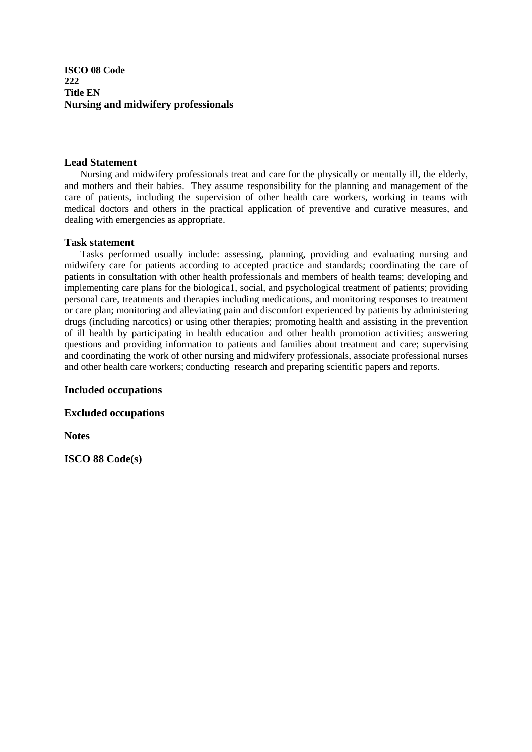**ISCO 08 Code 222 Title EN Nursing and midwifery professionals**

#### **Lead Statement**

Nursing and midwifery professionals treat and care for the physically or mentally ill, the elderly, and mothers and their babies. They assume responsibility for the planning and management of the care of patients, including the supervision of other health care workers, working in teams with medical doctors and others in the practical application of preventive and curative measures, and dealing with emergencies as appropriate.

#### **Task statement**

Tasks performed usually include: assessing, planning, providing and evaluating nursing and midwifery care for patients according to accepted practice and standards; coordinating the care of patients in consultation with other health professionals and members of health teams; developing and implementing care plans for the biologica1, social, and psychological treatment of patients; providing personal care, treatments and therapies including medications, and monitoring responses to treatment or care plan; monitoring and alleviating pain and discomfort experienced by patients by administering drugs (including narcotics) or using other therapies; promoting health and assisting in the prevention of ill health by participating in health education and other health promotion activities; answering questions and providing information to patients and families about treatment and care; supervising and coordinating the work of other nursing and midwifery professionals, associate professional nurses and other health care workers; conducting research and preparing scientific papers and reports.

#### **Included occupations**

**Excluded occupations** 

**Notes**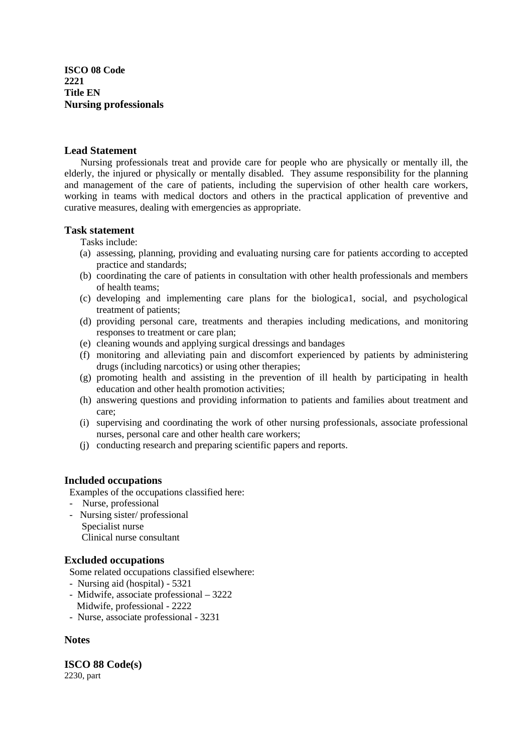**ISCO 08 Code 2221 Title EN Nursing professionals**

#### **Lead Statement**

 Nursing professionals treat and provide care for people who are physically or mentally ill, the elderly, the injured or physically or mentally disabled. They assume responsibility for the planning and management of the care of patients, including the supervision of other health care workers, working in teams with medical doctors and others in the practical application of preventive and curative measures, dealing with emergencies as appropriate.

## **Task statement**

Tasks include:

- (a) assessing, planning, providing and evaluating nursing care for patients according to accepted practice and standards;
- (b) coordinating the care of patients in consultation with other health professionals and members of health teams;
- (c) developing and implementing care plans for the biologica1, social, and psychological treatment of patients;
- (d) providing personal care, treatments and therapies including medications, and monitoring responses to treatment or care plan;
- (e) cleaning wounds and applying surgical dressings and bandages
- (f) monitoring and alleviating pain and discomfort experienced by patients by administering drugs (including narcotics) or using other therapies;
- (g) promoting health and assisting in the prevention of ill health by participating in health education and other health promotion activities;
- (h) answering questions and providing information to patients and families about treatment and care;
- (i) supervising and coordinating the work of other nursing professionals, associate professional nurses, personal care and other health care workers;
- (j) conducting research and preparing scientific papers and reports.

## **Included occupations**

Examples of the occupations classified here:

- Nurse, professional
- Nursing sister/ professional Specialist nurse Clinical nurse consultant

## **Excluded occupations**

Some related occupations classified elsewhere:

- Nursing aid (hospital) 5321
- Midwife, associate professional 3222 Midwife, professional - 2222
- Nurse, associate professional 3231

## **Notes**

**ISCO 88 Code(s)**  2230, part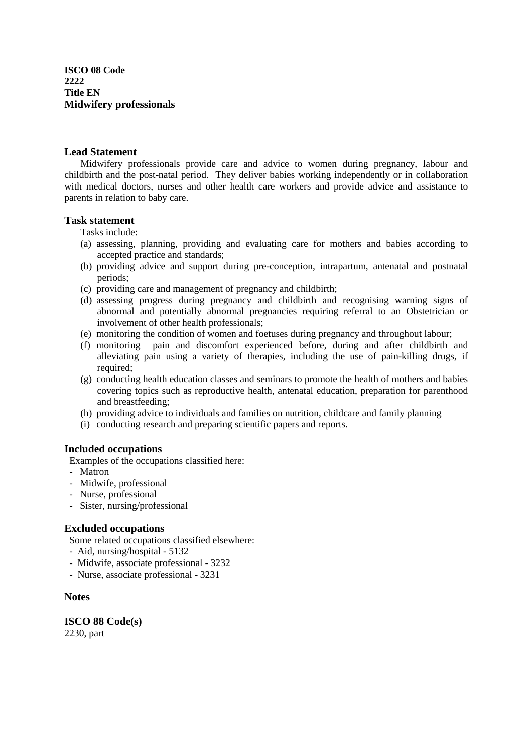**ISCO 08 Code 2222 Title EN Midwifery professionals**

#### **Lead Statement**

 Midwifery professionals provide care and advice to women during pregnancy, labour and childbirth and the post-natal period. They deliver babies working independently or in collaboration with medical doctors, nurses and other health care workers and provide advice and assistance to parents in relation to baby care.

#### **Task statement**

Tasks include:

- (a) assessing, planning, providing and evaluating care for mothers and babies according to accepted practice and standards;
- (b) providing advice and support during pre-conception, intrapartum, antenatal and postnatal periods;
- (c) providing care and management of pregnancy and childbirth;
- (d) assessing progress during pregnancy and childbirth and recognising warning signs of abnormal and potentially abnormal pregnancies requiring referral to an Obstetrician or involvement of other health professionals;
- (e) monitoring the condition of women and foetuses during pregnancy and throughout labour;
- (f) monitoring pain and discomfort experienced before, during and after childbirth and alleviating pain using a variety of therapies, including the use of pain-killing drugs, if required:
- (g) conducting health education classes and seminars to promote the health of mothers and babies covering topics such as reproductive health, antenatal education, preparation for parenthood and breastfeeding;
- (h) providing advice to individuals and families on nutrition, childcare and family planning
- (i) conducting research and preparing scientific papers and reports.

#### **Included occupations**

Examples of the occupations classified here:

- Matron
- Midwife, professional
- Nurse, professional
- Sister, nursing/professional

#### **Excluded occupations**

Some related occupations classified elsewhere:

- Aid, nursing/hospital 5132
- Midwife, associate professional 3232
- Nurse, associate professional 3231

#### **Notes**

**ISCO 88 Code(s)**  2230, part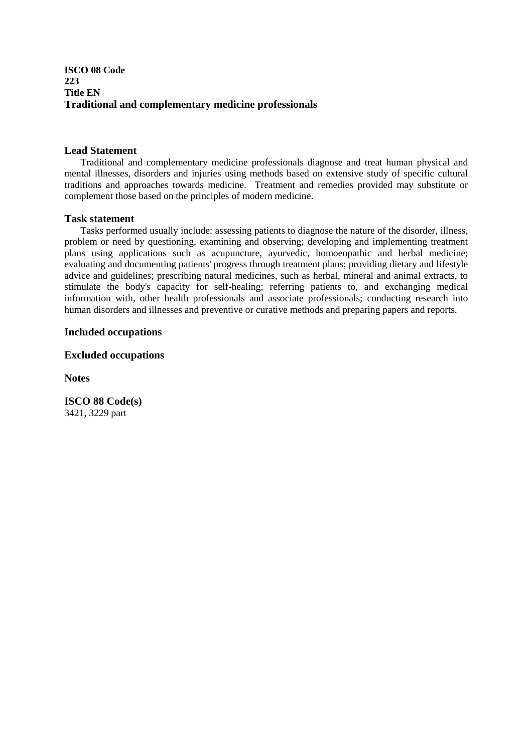## **ISCO 08 Code 223 Title EN Traditional and complementary medicine professionals**

## **Lead Statement**

 Traditional and complementary medicine professionals diagnose and treat human physical and mental illnesses, disorders and injuries using methods based on extensive study of specific cultural traditions and approaches towards medicine. Treatment and remedies provided may substitute or complement those based on the principles of modern medicine.

#### **Task statement**

 Tasks performed usually include: assessing patients to diagnose the nature of the disorder, illness, problem or need by questioning, examining and observing; developing and implementing treatment plans using applications such as acupuncture, ayurvedic, homoeopathic and herbal medicine; evaluating and documenting patients' progress through treatment plans; providing dietary and lifestyle advice and guidelines; prescribing natural medicines, such as herbal, mineral and animal extracts, to stimulate the body's capacity for self-healing; referring patients to, and exchanging medical information with, other health professionals and associate professionals; conducting research into human disorders and illnesses and preventive or curative methods and preparing papers and reports.

## **Included occupations**

## **Excluded occupations**

**Notes** 

**ISCO 88 Code(s)**  3421, 3229 part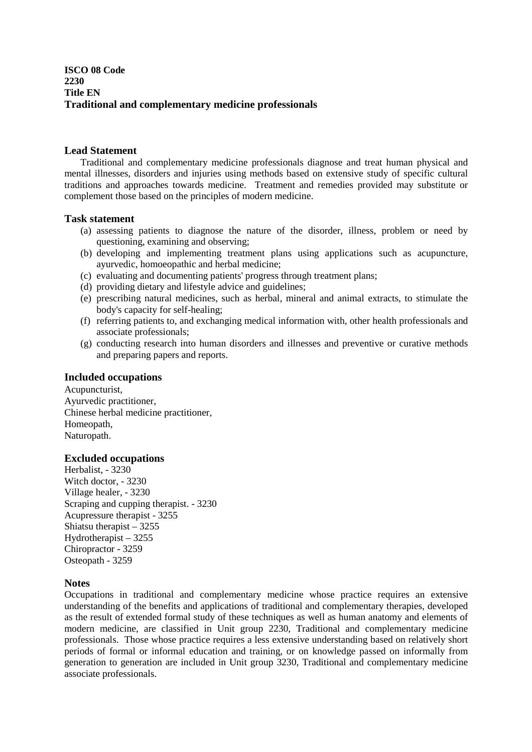## **ISCO 08 Code 2230 Title EN Traditional and complementary medicine professionals**

#### **Lead Statement**

 Traditional and complementary medicine professionals diagnose and treat human physical and mental illnesses, disorders and injuries using methods based on extensive study of specific cultural traditions and approaches towards medicine. Treatment and remedies provided may substitute or complement those based on the principles of modern medicine.

## **Task statement**

- (a) assessing patients to diagnose the nature of the disorder, illness, problem or need by questioning, examining and observing;
- (b) developing and implementing treatment plans using applications such as acupuncture, ayurvedic, homoeopathic and herbal medicine;
- (c) evaluating and documenting patients' progress through treatment plans;
- (d) providing dietary and lifestyle advice and guidelines;
- (e) prescribing natural medicines, such as herbal, mineral and animal extracts, to stimulate the body's capacity for self-healing;
- (f) referring patients to, and exchanging medical information with, other health professionals and associate professionals;
- (g) conducting research into human disorders and illnesses and preventive or curative methods and preparing papers and reports.

## **Included occupations**

Acupuncturist, Ayurvedic practitioner, Chinese herbal medicine practitioner, Homeopath, Naturopath.

## **Excluded occupations**

Herbalist, - 3230 Witch doctor, - 3230 Village healer, - 3230 Scraping and cupping therapist. - 3230 Acupressure therapist - 3255 Shiatsu therapist – 3255 Hydrotherapist – 3255 Chiropractor - 3259 Osteopath - 3259

#### **Notes**

Occupations in traditional and complementary medicine whose practice requires an extensive understanding of the benefits and applications of traditional and complementary therapies, developed as the result of extended formal study of these techniques as well as human anatomy and elements of modern medicine, are classified in Unit group 2230, Traditional and complementary medicine professionals. Those whose practice requires a less extensive understanding based on relatively short periods of formal or informal education and training, or on knowledge passed on informally from generation to generation are included in Unit group 3230, Traditional and complementary medicine associate professionals.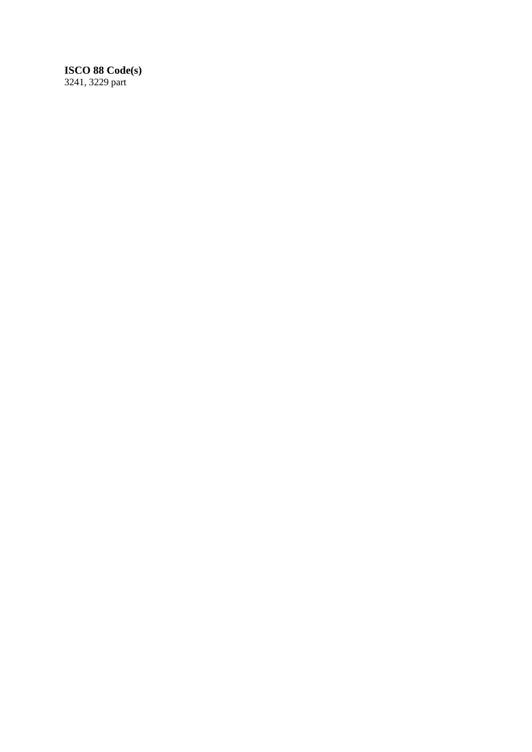# **ISCO 88 Code(s)**

3241, 3229 part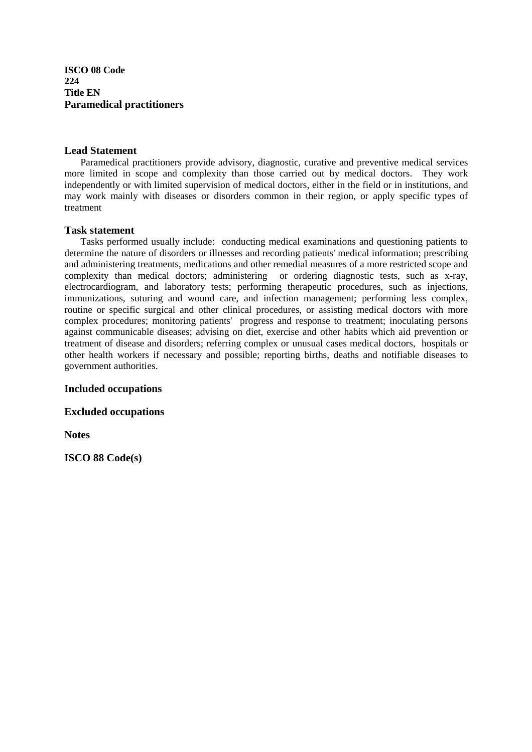**ISCO 08 Code 224 Title EN Paramedical practitioners**

#### **Lead Statement**

 Paramedical practitioners provide advisory, diagnostic, curative and preventive medical services more limited in scope and complexity than those carried out by medical doctors. They work independently or with limited supervision of medical doctors, either in the field or in institutions, and may work mainly with diseases or disorders common in their region, or apply specific types of treatment

#### **Task statement**

 Tasks performed usually include: conducting medical examinations and questioning patients to determine the nature of disorders or illnesses and recording patients' medical information; prescribing and administering treatments, medications and other remedial measures of a more restricted scope and complexity than medical doctors; administering or ordering diagnostic tests, such as x-ray, electrocardiogram, and laboratory tests; performing therapeutic procedures, such as injections, immunizations, suturing and wound care, and infection management; performing less complex, routine or specific surgical and other clinical procedures, or assisting medical doctors with more complex procedures; monitoring patients' progress and response to treatment; inoculating persons against communicable diseases; advising on diet, exercise and other habits which aid prevention or treatment of disease and disorders; referring complex or unusual cases medical doctors, hospitals or other health workers if necessary and possible; reporting births, deaths and notifiable diseases to government authorities.

#### **Included occupations**

**Excluded occupations** 

**Notes**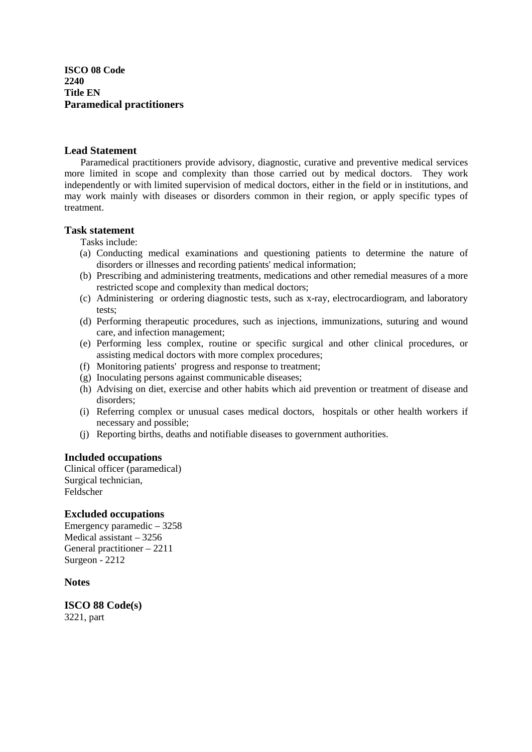**ISCO 08 Code 2240 Title EN Paramedical practitioners**

#### **Lead Statement**

 Paramedical practitioners provide advisory, diagnostic, curative and preventive medical services more limited in scope and complexity than those carried out by medical doctors. They work independently or with limited supervision of medical doctors, either in the field or in institutions, and may work mainly with diseases or disorders common in their region, or apply specific types of treatment.

#### **Task statement**

Tasks include:

- (a) Conducting medical examinations and questioning patients to determine the nature of disorders or illnesses and recording patients' medical information;
- (b) Prescribing and administering treatments, medications and other remedial measures of a more restricted scope and complexity than medical doctors;
- (c) Administering or ordering diagnostic tests, such as x-ray, electrocardiogram, and laboratory tests;
- (d) Performing therapeutic procedures, such as injections, immunizations, suturing and wound care, and infection management;
- (e) Performing less complex, routine or specific surgical and other clinical procedures, or assisting medical doctors with more complex procedures;
- (f) Monitoring patients' progress and response to treatment;
- (g) Inoculating persons against communicable diseases;
- (h) Advising on diet, exercise and other habits which aid prevention or treatment of disease and disorders;
- (i) Referring complex or unusual cases medical doctors, hospitals or other health workers if necessary and possible;
- (j) Reporting births, deaths and notifiable diseases to government authorities.

#### **Included occupations**

Clinical officer (paramedical) Surgical technician, Feldscher

#### **Excluded occupations**

Emergency paramedic – 3258 Medical assistant – 3256 General practitioner – 2211 Surgeon - 2212

**Notes** 

**ISCO 88 Code(s)**  3221, part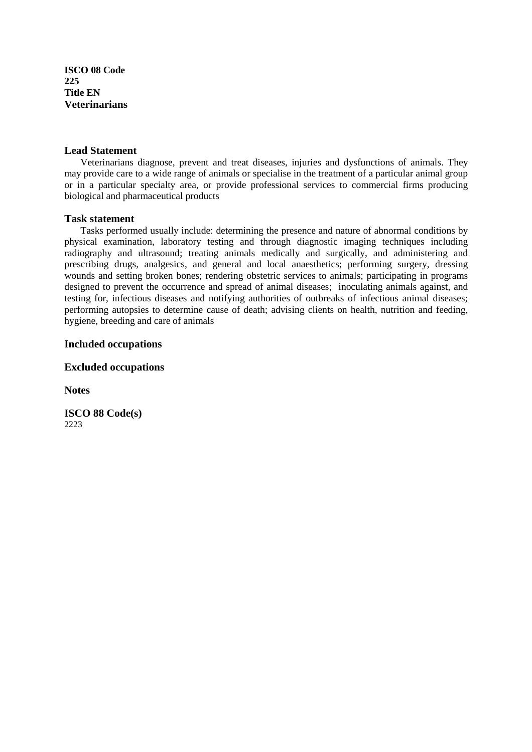**ISCO 08 Code 225 Title EN Veterinarians**

#### **Lead Statement**

Veterinarians diagnose, prevent and treat diseases, injuries and dysfunctions of animals. They may provide care to a wide range of animals or specialise in the treatment of a particular animal group or in a particular specialty area, or provide professional services to commercial firms producing biological and pharmaceutical products

#### **Task statement**

 Tasks performed usually include: determining the presence and nature of abnormal conditions by physical examination, laboratory testing and through diagnostic imaging techniques including radiography and ultrasound; treating animals medically and surgically, and administering and prescribing drugs, analgesics, and general and local anaesthetics; performing surgery, dressing wounds and setting broken bones; rendering obstetric services to animals; participating in programs designed to prevent the occurrence and spread of animal diseases; inoculating animals against, and testing for, infectious diseases and notifying authorities of outbreaks of infectious animal diseases; performing autopsies to determine cause of death; advising clients on health, nutrition and feeding, hygiene, breeding and care of animals

#### **Included occupations**

## **Excluded occupations**

**Notes**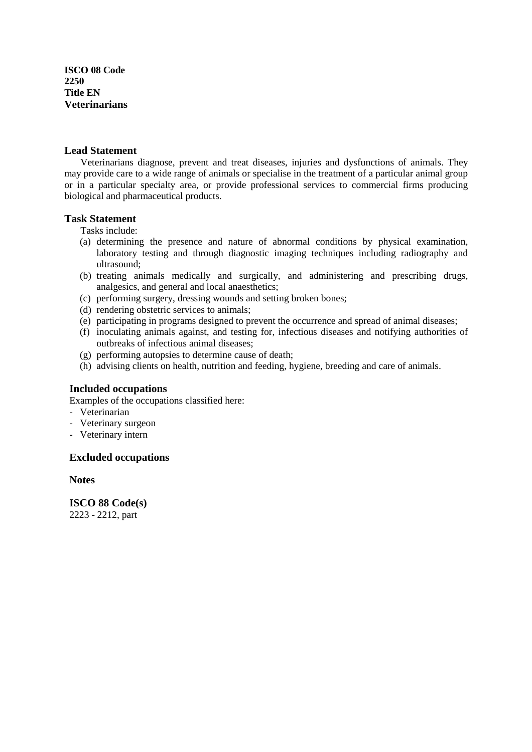**ISCO 08 Code 2250 Title EN Veterinarians**

#### **Lead Statement**

 Veterinarians diagnose, prevent and treat diseases, injuries and dysfunctions of animals. They may provide care to a wide range of animals or specialise in the treatment of a particular animal group or in a particular specialty area, or provide professional services to commercial firms producing biological and pharmaceutical products.

#### **Task Statement**

Tasks include:

- (a) determining the presence and nature of abnormal conditions by physical examination, laboratory testing and through diagnostic imaging techniques including radiography and ultrasound;
- (b) treating animals medically and surgically, and administering and prescribing drugs, analgesics, and general and local anaesthetics;
- (c) performing surgery, dressing wounds and setting broken bones;
- (d) rendering obstetric services to animals;
- (e) participating in programs designed to prevent the occurrence and spread of animal diseases;
- (f) inoculating animals against, and testing for, infectious diseases and notifying authorities of outbreaks of infectious animal diseases;
- (g) performing autopsies to determine cause of death;
- (h) advising clients on health, nutrition and feeding, hygiene, breeding and care of animals.

#### **Included occupations**

Examples of the occupations classified here:

- Veterinarian
- Veterinary surgeon
- Veterinary intern

## **Excluded occupations**

**Notes** 

 **ISCO 88 Code(s)**  2223 - 2212, part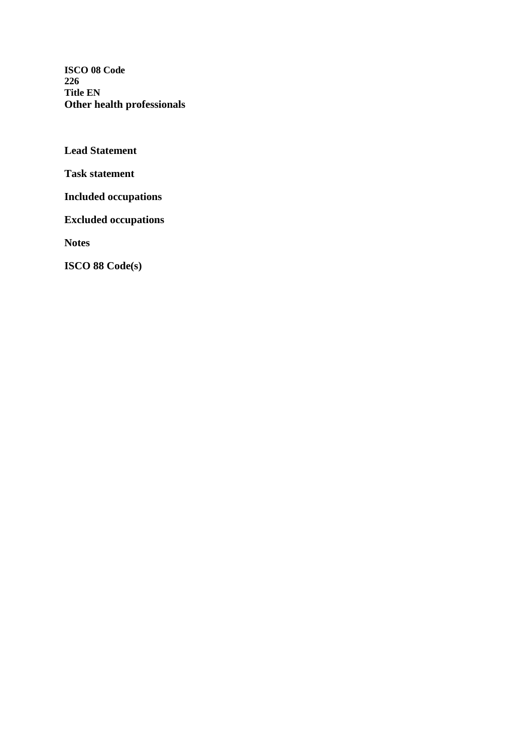**ISCO 08 Code 226 Title EN Other health professionals**

**Lead Statement** 

**Task statement** 

**Included occupations** 

**Excluded occupations** 

**Notes**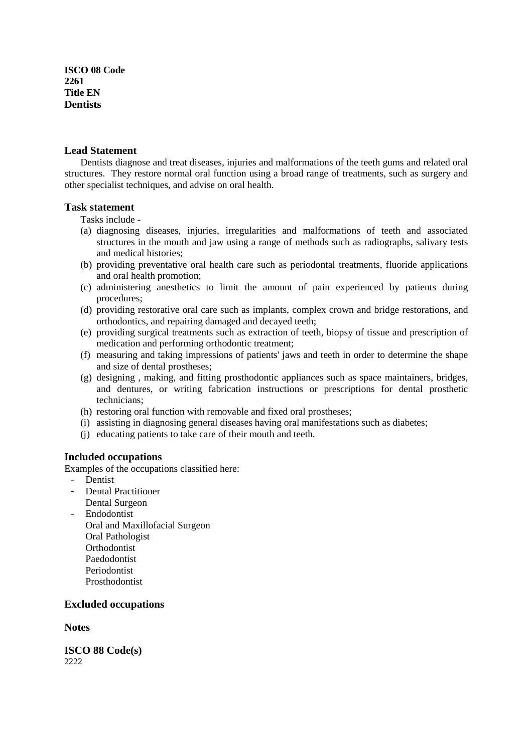**ISCO 08 Code 2261 Title EN Dentists**

#### **Lead Statement**

Dentists diagnose and treat diseases, injuries and malformations of the teeth gums and related oral structures. They restore normal oral function using a broad range of treatments, such as surgery and other specialist techniques, and advise on oral health.

#### **Task statement**

Tasks include -

- (a) diagnosing diseases, injuries, irregularities and malformations of teeth and associated structures in the mouth and jaw using a range of methods such as radiographs, salivary tests and medical histories;
- (b) providing preventative oral health care such as periodontal treatments, fluoride applications and oral health promotion;
- (c) administering anesthetics to limit the amount of pain experienced by patients during procedures;
- (d) providing restorative oral care such as implants, complex crown and bridge restorations, and orthodontics, and repairing damaged and decayed teeth;
- (e) providing surgical treatments such as extraction of teeth, biopsy of tissue and prescription of medication and performing orthodontic treatment;
- (f) measuring and taking impressions of patients' jaws and teeth in order to determine the shape and size of dental prostheses;
- (g) designing , making, and fitting prosthodontic appliances such as space maintainers, bridges, and dentures, or writing fabrication instructions or prescriptions for dental prosthetic technicians;
- (h) restoring oral function with removable and fixed oral prostheses;
- (i) assisting in diagnosing general diseases having oral manifestations such as diabetes;
- (j) educating patients to take care of their mouth and teeth.

#### **Included occupations**

Examples of the occupations classified here:

- Dentist
- Dental Practitioner
	- Dental Surgeon
- Endodontist Oral and Maxillofacial Surgeon Oral Pathologist **Orthodontist** Paedodontist Periodontist Prosthodontist

#### **Excluded occupations**

**Notes**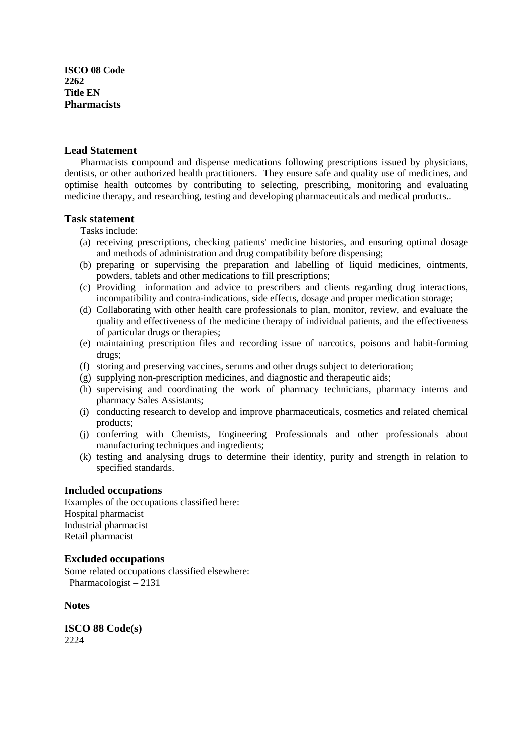**ISCO 08 Code 2262 Title EN Pharmacists**

#### **Lead Statement**

 Pharmacists compound and dispense medications following prescriptions issued by physicians, dentists, or other authorized health practitioners. They ensure safe and quality use of medicines, and optimise health outcomes by contributing to selecting, prescribing, monitoring and evaluating medicine therapy, and researching, testing and developing pharmaceuticals and medical products..

#### **Task statement**

Tasks include:

- (a) receiving prescriptions, checking patients' medicine histories, and ensuring optimal dosage and methods of administration and drug compatibility before dispensing;
- (b) preparing or supervising the preparation and labelling of liquid medicines, ointments, powders, tablets and other medications to fill prescriptions;
- (c) Providing information and advice to prescribers and clients regarding drug interactions, incompatibility and contra-indications, side effects, dosage and proper medication storage;
- (d) Collaborating with other health care professionals to plan, monitor, review, and evaluate the quality and effectiveness of the medicine therapy of individual patients, and the effectiveness of particular drugs or therapies;
- (e) maintaining prescription files and recording issue of narcotics, poisons and habit-forming drugs;
- (f) storing and preserving vaccines, serums and other drugs subject to deterioration;
- (g) supplying non-prescription medicines, and diagnostic and therapeutic aids;
- (h) supervising and coordinating the work of pharmacy technicians, pharmacy interns and pharmacy Sales Assistants;
- (i) conducting research to develop and improve pharmaceuticals, cosmetics and related chemical products;
- (j) conferring with Chemists, Engineering Professionals and other professionals about manufacturing techniques and ingredients;
- (k) testing and analysing drugs to determine their identity, purity and strength in relation to specified standards.

#### **Included occupations**

Examples of the occupations classified here: Hospital pharmacist Industrial pharmacist Retail pharmacist

#### **Excluded occupations**

Some related occupations classified elsewhere: Pharmacologist – 2131

**Notes**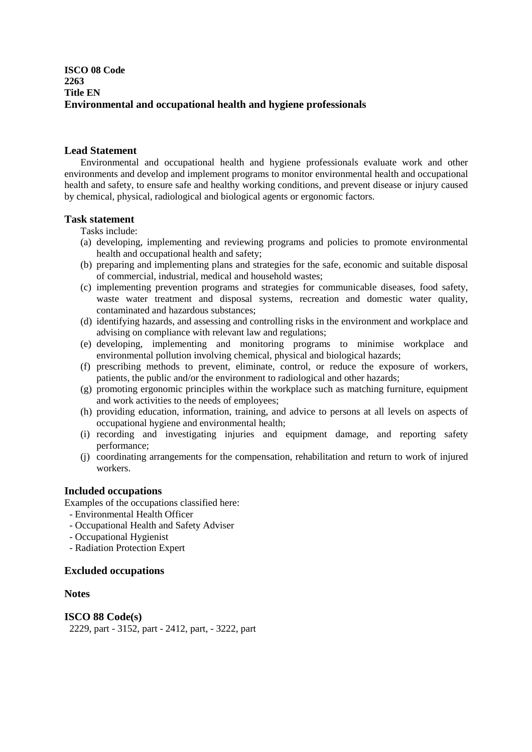## **ISCO 08 Code 2263 Title EN Environmental and occupational health and hygiene professionals**

## **Lead Statement**

Environmental and occupational health and hygiene professionals evaluate work and other environments and develop and implement programs to monitor environmental health and occupational health and safety, to ensure safe and healthy working conditions, and prevent disease or injury caused by chemical, physical, radiological and biological agents or ergonomic factors.

## **Task statement**

- Tasks include:
- (a) developing, implementing and reviewing programs and policies to promote environmental health and occupational health and safety;
- (b) preparing and implementing plans and strategies for the safe, economic and suitable disposal of commercial, industrial, medical and household wastes;
- (c) implementing prevention programs and strategies for communicable diseases, food safety, waste water treatment and disposal systems, recreation and domestic water quality, contaminated and hazardous substances;
- (d) identifying hazards, and assessing and controlling risks in the environment and workplace and advising on compliance with relevant law and regulations;
- (e) developing, implementing and monitoring programs to minimise workplace and environmental pollution involving chemical, physical and biological hazards;
- (f) prescribing methods to prevent, eliminate, control, or reduce the exposure of workers, patients, the public and/or the environment to radiological and other hazards;
- (g) promoting ergonomic principles within the workplace such as matching furniture, equipment and work activities to the needs of employees;
- (h) providing education, information, training, and advice to persons at all levels on aspects of occupational hygiene and environmental health;
- (i) recording and investigating injuries and equipment damage, and reporting safety performance;
- (j) coordinating arrangements for the compensation, rehabilitation and return to work of injured workers.

## **Included occupations**

Examples of the occupations classified here:

- Environmental Health Officer
- Occupational Health and Safety Adviser
- Occupational Hygienist
- Radiation Protection Expert

## **Excluded occupations**

## **Notes**

**ISCO 88 Code(s)**  2229, part - 3152, part - 2412, part, - 3222, part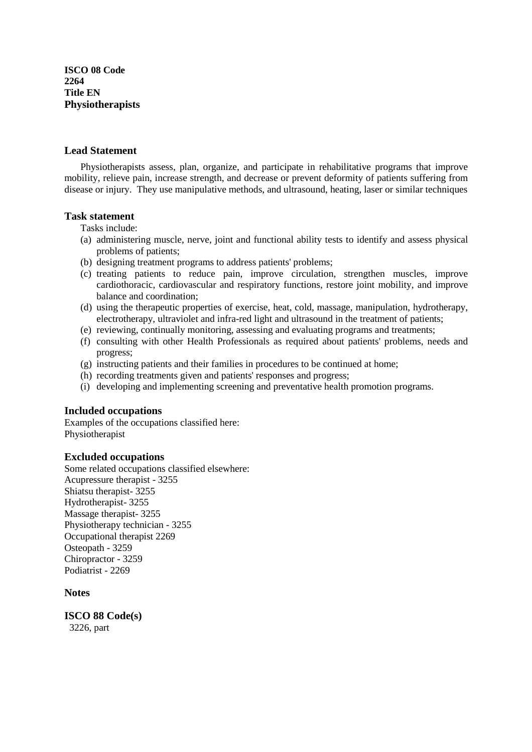**ISCO 08 Code 2264 Title EN Physiotherapists** 

#### **Lead Statement**

 Physiotherapists assess, plan, organize, and participate in rehabilitative programs that improve mobility, relieve pain, increase strength, and decrease or prevent deformity of patients suffering from disease or injury. They use manipulative methods, and ultrasound, heating, laser or similar techniques

#### **Task statement**

Tasks include:

- (a) administering muscle, nerve, joint and functional ability tests to identify and assess physical problems of patients;
- (b) designing treatment programs to address patients' problems;
- (c) treating patients to reduce pain, improve circulation, strengthen muscles, improve cardiothoracic, cardiovascular and respiratory functions, restore joint mobility, and improve balance and coordination;
- (d) using the therapeutic properties of exercise, heat, cold, massage, manipulation, hydrotherapy, electrotherapy, ultraviolet and infra-red light and ultrasound in the treatment of patients;
- (e) reviewing, continually monitoring, assessing and evaluating programs and treatments;
- (f) consulting with other Health Professionals as required about patients' problems, needs and progress;
- (g) instructing patients and their families in procedures to be continued at home;
- (h) recording treatments given and patients' responses and progress;
- (i) developing and implementing screening and preventative health promotion programs.

## **Included occupations**

Examples of the occupations classified here: Physiotherapist

#### **Excluded occupations**

Some related occupations classified elsewhere: Acupressure therapist - 3255 Shiatsu therapist- 3255 Hydrotherapist- 3255 Massage therapist- 3255 Physiotherapy technician - 3255 Occupational therapist 2269 Osteopath - 3259 Chiropractor - 3259 Podiatrist - 2269

## **Notes**

**ISCO 88 Code(s)**  3226, part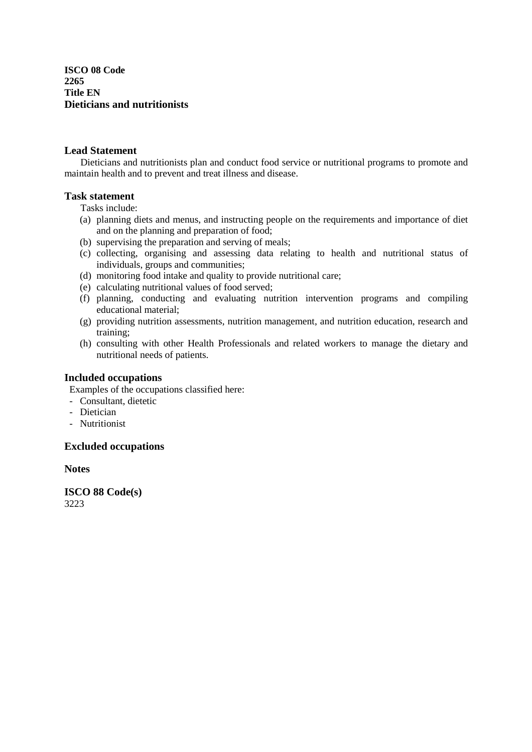**ISCO 08 Code 2265 Title EN Dieticians and nutritionists**

## **Lead Statement**

Dieticians and nutritionists plan and conduct food service or nutritional programs to promote and maintain health and to prevent and treat illness and disease.

## **Task statement**

Tasks include:

- (a) planning diets and menus, and instructing people on the requirements and importance of diet and on the planning and preparation of food;
- (b) supervising the preparation and serving of meals;
- (c) collecting, organising and assessing data relating to health and nutritional status of individuals, groups and communities;
- (d) monitoring food intake and quality to provide nutritional care;
- (e) calculating nutritional values of food served;
- (f) planning, conducting and evaluating nutrition intervention programs and compiling educational material;
- (g) providing nutrition assessments, nutrition management, and nutrition education, research and training;
- (h) consulting with other Health Professionals and related workers to manage the dietary and nutritional needs of patients.

## **Included occupations**

Examples of the occupations classified here:

- Consultant, dietetic
- Dietician
- Nutritionist

## **Excluded occupations**

**Notes**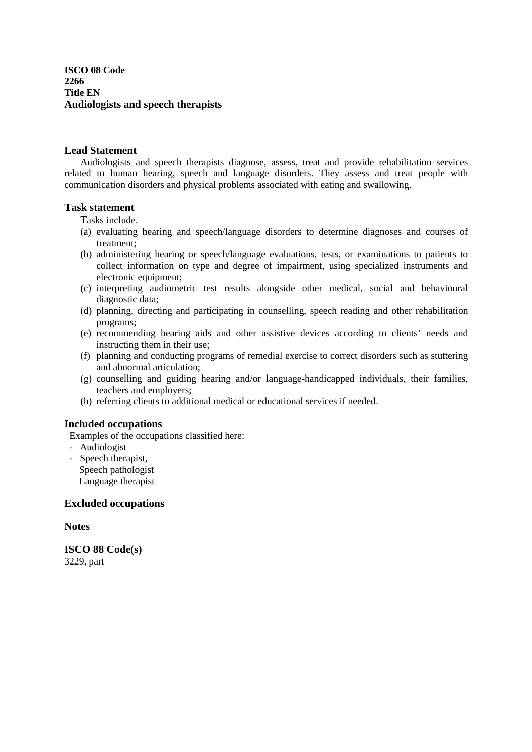**ISCO 08 Code 2266 Title EN Audiologists and speech therapists**

#### **Lead Statement**

 Audiologists and speech therapists diagnose, assess, treat and provide rehabilitation services related to human hearing, speech and language disorders. They assess and treat people with communication disorders and physical problems associated with eating and swallowing.

#### **Task statement**

Tasks include.

- (a) evaluating hearing and speech/language disorders to determine diagnoses and courses of treatment;
- (b) administering hearing or speech/language evaluations, tests, or examinations to patients to collect information on type and degree of impairment, using specialized instruments and electronic equipment;
- (c) interpreting audiometric test results alongside other medical, social and behavioural diagnostic data;
- (d) planning, directing and participating in counselling, speech reading and other rehabilitation programs;
- (e) recommending hearing aids and other assistive devices according to clients' needs and instructing them in their use;
- (f) planning and conducting programs of remedial exercise to correct disorders such as stuttering and abnormal articulation;
- (g) counselling and guiding hearing and/or language-handicapped individuals, their families, teachers and employers;
- (h) referring clients to additional medical or educational services if needed.

#### **Included occupations**

Examples of the occupations classified here:

- Audiologist
- Speech therapist, Speech pathologist Language therapist

#### **Excluded occupations**

#### **Notes**

**ISCO 88 Code(s)**  3229, part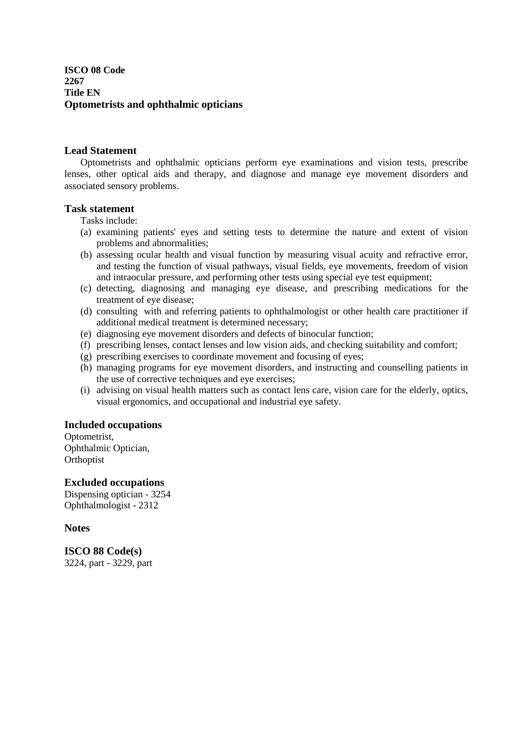## **ISCO 08 Code 2267 Title EN Optometrists and ophthalmic opticians**

## **Lead Statement**

 Optometrists and ophthalmic opticians perform eye examinations and vision tests, prescribe lenses, other optical aids and therapy, and diagnose and manage eye movement disorders and associated sensory problems.

## **Task statement**

Tasks include:

- (a) examining patients' eyes and setting tests to determine the nature and extent of vision problems and abnormalities;
- (b) assessing ocular health and visual function by measuring visual acuity and refractive error, and testing the function of visual pathways, visual fields, eye movements, freedom of vision and intraocular pressure, and performing other tests using special eye test equipment;
- (c) detecting, diagnosing and managing eye disease, and prescribing medications for the treatment of eye disease;
- (d) consulting with and referring patients to ophthalmologist or other health care practitioner if additional medical treatment is determined necessary;
- (e) diagnosing eye movement disorders and defects of binocular function;
- (f) prescribing lenses, contact lenses and low vision aids, and checking suitability and comfort;
- (g) prescribing exercises to coordinate movement and focusing of eyes;
- (h) managing programs for eye movement disorders, and instructing and counselling patients in the use of corrective techniques and eye exercises;
- (i) advising on visual health matters such as contact lens care, vision care for the elderly, optics, visual ergonomics, and occupational and industrial eye safety.

## **Included occupations**

Optometrist, Ophthalmic Optician, **Orthoptist** 

## **Excluded occupations**

Dispensing optician - 3254 Ophthalmologist - 2312

#### **Notes**

**ISCO 88 Code(s)**  3224, part - 3229, part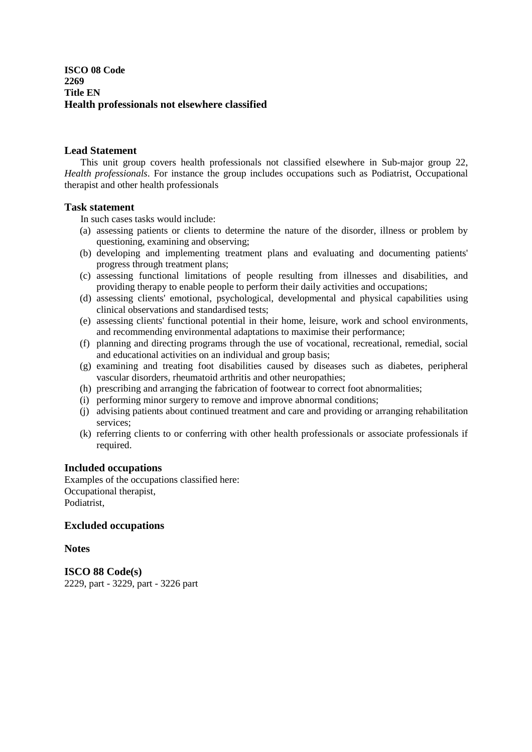## **ISCO 08 Code 2269 Title EN Health professionals not elsewhere classified**

## **Lead Statement**

 This unit group covers health professionals not classified elsewhere in Sub-major group 22, *Health professionals*. For instance the group includes occupations such as Podiatrist, Occupational therapist and other health professionals

## **Task statement**

In such cases tasks would include:

- (a) assessing patients or clients to determine the nature of the disorder, illness or problem by questioning, examining and observing;
- (b) developing and implementing treatment plans and evaluating and documenting patients' progress through treatment plans;
- (c) assessing functional limitations of people resulting from illnesses and disabilities, and providing therapy to enable people to perform their daily activities and occupations;
- (d) assessing clients' emotional, psychological, developmental and physical capabilities using clinical observations and standardised tests;
- (e) assessing clients' functional potential in their home, leisure, work and school environments, and recommending environmental adaptations to maximise their performance;
- (f) planning and directing programs through the use of vocational, recreational, remedial, social and educational activities on an individual and group basis;
- (g) examining and treating foot disabilities caused by diseases such as diabetes, peripheral vascular disorders, rheumatoid arthritis and other neuropathies;
- (h) prescribing and arranging the fabrication of footwear to correct foot abnormalities;
- (i) performing minor surgery to remove and improve abnormal conditions;
- (j) advising patients about continued treatment and care and providing or arranging rehabilitation services;
- (k) referring clients to or conferring with other health professionals or associate professionals if required.

#### **Included occupations**

Examples of the occupations classified here: Occupational therapist, Podiatrist,

## **Excluded occupations**

#### **Notes**

**ISCO 88 Code(s)**  2229, part - 3229, part - 3226 part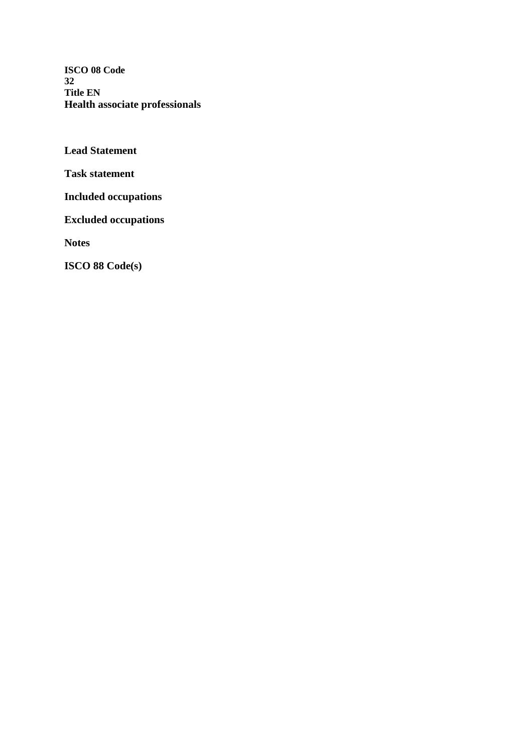**ISCO 08 Code 32 Title EN Health associate professionals**

**Lead Statement** 

**Task statement** 

**Included occupations** 

**Excluded occupations** 

**Notes**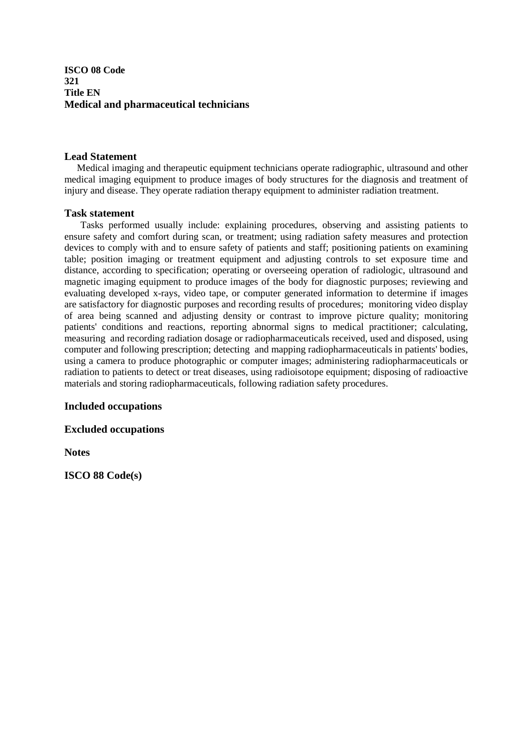## **ISCO 08 Code 321 Title EN Medical and pharmaceutical technicians**

## **Lead Statement**

Medical imaging and therapeutic equipment technicians operate radiographic, ultrasound and other medical imaging equipment to produce images of body structures for the diagnosis and treatment of injury and disease. They operate radiation therapy equipment to administer radiation treatment.

## **Task statement**

Tasks performed usually include: explaining procedures, observing and assisting patients to ensure safety and comfort during scan, or treatment; using radiation safety measures and protection devices to comply with and to ensure safety of patients and staff; positioning patients on examining table; position imaging or treatment equipment and adjusting controls to set exposure time and distance, according to specification; operating or overseeing operation of radiologic, ultrasound and magnetic imaging equipment to produce images of the body for diagnostic purposes; reviewing and evaluating developed x-rays, video tape, or computer generated information to determine if images are satisfactory for diagnostic purposes and recording results of procedures; monitoring video display of area being scanned and adjusting density or contrast to improve picture quality; monitoring patients' conditions and reactions, reporting abnormal signs to medical practitioner; calculating, measuring and recording radiation dosage or radiopharmaceuticals received, used and disposed, using computer and following prescription; detecting and mapping radiopharmaceuticals in patients' bodies, using a camera to produce photographic or computer images; administering radiopharmaceuticals or radiation to patients to detect or treat diseases, using radioisotope equipment; disposing of radioactive materials and storing radiopharmaceuticals, following radiation safety procedures.

## **Included occupations**

**Excluded occupations** 

**Notes**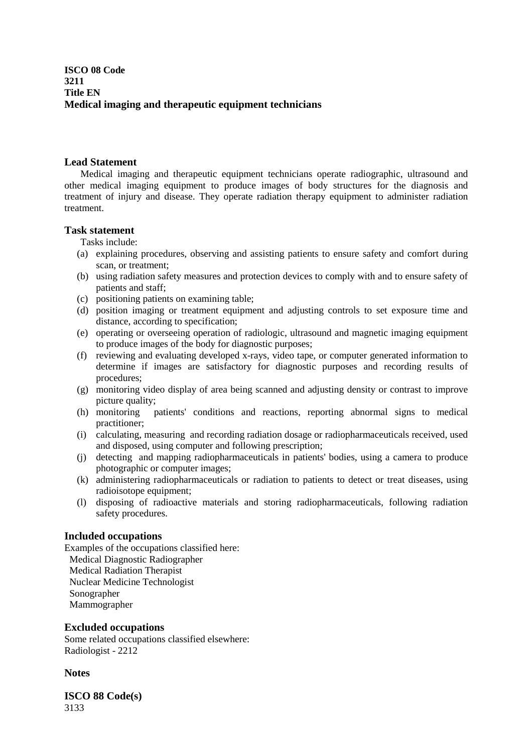## **Lead Statement**

Medical imaging and therapeutic equipment technicians operate radiographic, ultrasound and other medical imaging equipment to produce images of body structures for the diagnosis and treatment of injury and disease. They operate radiation therapy equipment to administer radiation treatment.

## **Task statement**

Tasks include:

- (a) explaining procedures, observing and assisting patients to ensure safety and comfort during scan, or treatment;
- (b) using radiation safety measures and protection devices to comply with and to ensure safety of patients and staff;
- (c) positioning patients on examining table;
- (d) position imaging or treatment equipment and adjusting controls to set exposure time and distance, according to specification;
- (e) operating or overseeing operation of radiologic, ultrasound and magnetic imaging equipment to produce images of the body for diagnostic purposes;
- (f) reviewing and evaluating developed x-rays, video tape, or computer generated information to determine if images are satisfactory for diagnostic purposes and recording results of procedures;
- (g) monitoring video display of area being scanned and adjusting density or contrast to improve picture quality;
- (h) monitoring patients' conditions and reactions, reporting abnormal signs to medical practitioner;
- (i) calculating, measuring and recording radiation dosage or radiopharmaceuticals received, used and disposed, using computer and following prescription;
- (j) detecting and mapping radiopharmaceuticals in patients' bodies, using a camera to produce photographic or computer images;
- (k) administering radiopharmaceuticals or radiation to patients to detect or treat diseases, using radioisotope equipment;
- (l) disposing of radioactive materials and storing radiopharmaceuticals, following radiation safety procedures.

## **Included occupations**

Examples of the occupations classified here: Medical Diagnostic Radiographer Medical Radiation Therapist Nuclear Medicine Technologist Sonographer Mammographer

#### **Excluded occupations**

Some related occupations classified elsewhere: Radiologist - 2212

**Notes**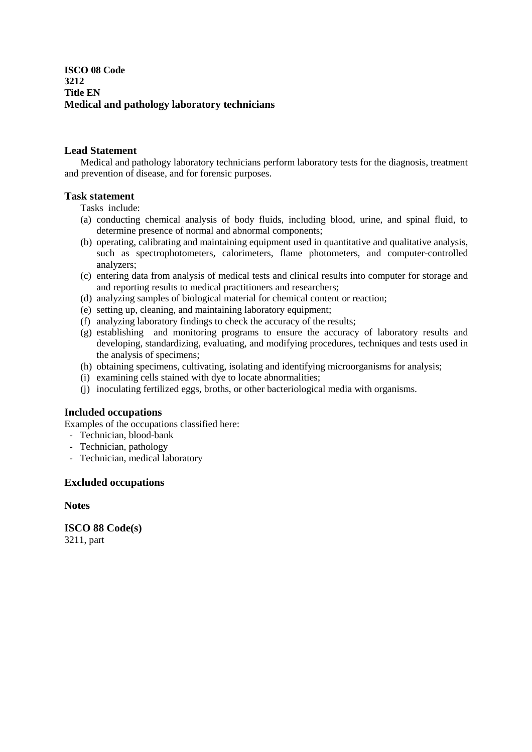## **ISCO 08 Code 3212 Title EN Medical and pathology laboratory technicians**

## **Lead Statement**

Medical and pathology laboratory technicians perform laboratory tests for the diagnosis, treatment and prevention of disease, and for forensic purposes.

## **Task statement**

Tasks include:

- (a) conducting chemical analysis of body fluids, including blood, urine, and spinal fluid, to determine presence of normal and abnormal components;
- (b) operating, calibrating and maintaining equipment used in quantitative and qualitative analysis, such as spectrophotometers, calorimeters, flame photometers, and computer-controlled analyzers;
- (c) entering data from analysis of medical tests and clinical results into computer for storage and and reporting results to medical practitioners and researchers;
- (d) analyzing samples of biological material for chemical content or reaction;
- (e) setting up, cleaning, and maintaining laboratory equipment;
- (f) analyzing laboratory findings to check the accuracy of the results;
- (g) establishing and monitoring programs to ensure the accuracy of laboratory results and developing, standardizing, evaluating, and modifying procedures, techniques and tests used in the analysis of specimens;
- (h) obtaining specimens, cultivating, isolating and identifying microorganisms for analysis;
- (i) examining cells stained with dye to locate abnormalities;
- (j) inoculating fertilized eggs, broths, or other bacteriological media with organisms.

## **Included occupations**

Examples of the occupations classified here:

- Technician, blood-bank
- Technician, pathology
- Technician, medical laboratory

## **Excluded occupations**

**Notes** 

**ISCO 88 Code(s)**  3211, part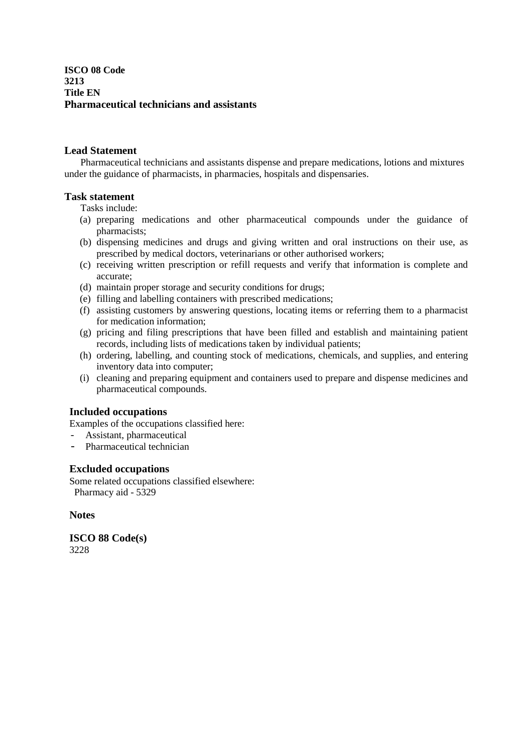**ISCO 08 Code 3213 Title EN Pharmaceutical technicians and assistants**

## **Lead Statement**

Pharmaceutical technicians and assistants dispense and prepare medications, lotions and mixtures under the guidance of pharmacists, in pharmacies, hospitals and dispensaries.

## **Task statement**

Tasks include:

- (a) preparing medications and other pharmaceutical compounds under the guidance of pharmacists;
- (b) dispensing medicines and drugs and giving written and oral instructions on their use, as prescribed by medical doctors, veterinarians or other authorised workers;
- (c) receiving written prescription or refill requests and verify that information is complete and accurate;
- (d) maintain proper storage and security conditions for drugs;
- (e) filling and labelling containers with prescribed medications;
- (f) assisting customers by answering questions, locating items or referring them to a pharmacist for medication information;
- (g) pricing and filing prescriptions that have been filled and establish and maintaining patient records, including lists of medications taken by individual patients;
- (h) ordering, labelling, and counting stock of medications, chemicals, and supplies, and entering inventory data into computer;
- (i) cleaning and preparing equipment and containers used to prepare and dispense medicines and pharmaceutical compounds.

#### **Included occupations**

Examples of the occupations classified here:

- Assistant, pharmaceutical
- Pharmaceutical technician

#### **Excluded occupations**

Some related occupations classified elsewhere: Pharmacy aid - 5329

**Notes**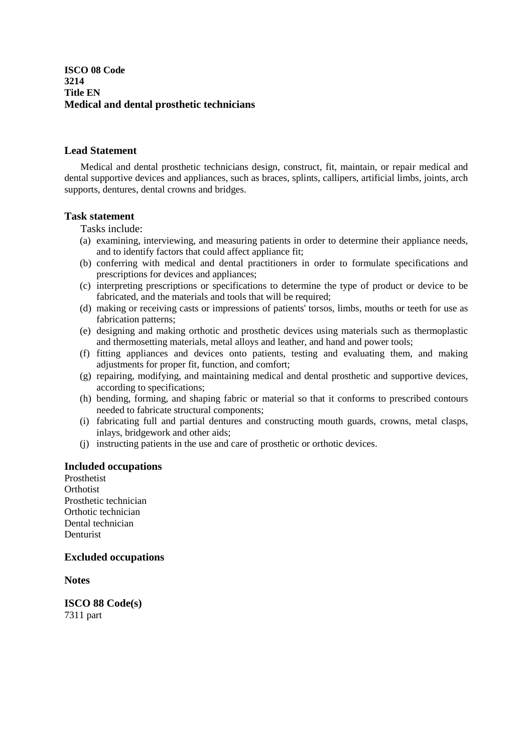**ISCO 08 Code 3214 Title EN Medical and dental prosthetic technicians**

## **Lead Statement**

 Medical and dental prosthetic technicians design, construct, fit, maintain, or repair medical and dental supportive devices and appliances, such as braces, splints, callipers, artificial limbs, joints, arch supports, dentures, dental crowns and bridges.

## **Task statement**

Tasks include:

- (a) examining, interviewing, and measuring patients in order to determine their appliance needs, and to identify factors that could affect appliance fit;
- (b) conferring with medical and dental practitioners in order to formulate specifications and prescriptions for devices and appliances;
- (c) interpreting prescriptions or specifications to determine the type of product or device to be fabricated, and the materials and tools that will be required;
- (d) making or receiving casts or impressions of patients' torsos, limbs, mouths or teeth for use as fabrication patterns;
- (e) designing and making orthotic and prosthetic devices using materials such as thermoplastic and thermosetting materials, metal alloys and leather, and hand and power tools;
- (f) fitting appliances and devices onto patients, testing and evaluating them, and making adjustments for proper fit, function, and comfort;
- (g) repairing, modifying, and maintaining medical and dental prosthetic and supportive devices, according to specifications;
- (h) bending, forming, and shaping fabric or material so that it conforms to prescribed contours needed to fabricate structural components;
- (i) fabricating full and partial dentures and constructing mouth guards, crowns, metal clasps, inlays, bridgework and other aids;
- (j) instructing patients in the use and care of prosthetic or orthotic devices.

#### **Included occupations**

Prosthetist **Orthotist** Prosthetic technician Orthotic technician Dental technician Denturist

#### **Excluded occupations**

**Notes** 

**ISCO 88 Code(s)**  7311 part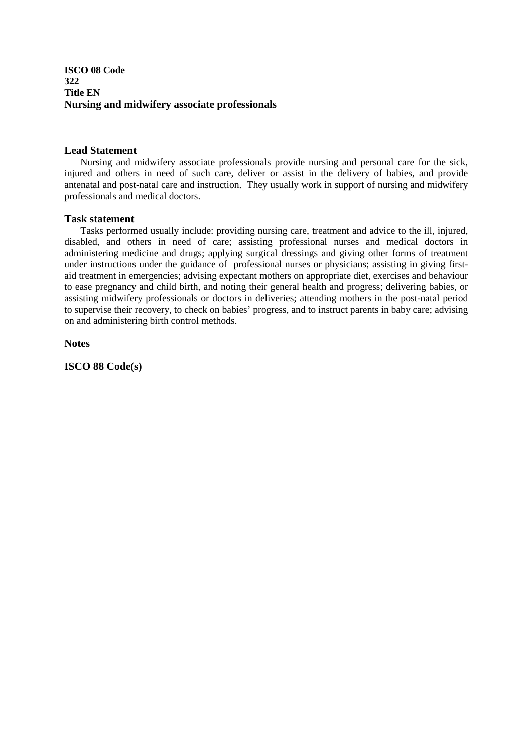## **ISCO 08 Code 322 Title EN Nursing and midwifery associate professionals**

## **Lead Statement**

Nursing and midwifery associate professionals provide nursing and personal care for the sick, injured and others in need of such care, deliver or assist in the delivery of babies, and provide antenatal and post-natal care and instruction. They usually work in support of nursing and midwifery professionals and medical doctors.

## **Task statement**

Tasks performed usually include: providing nursing care, treatment and advice to the ill, injured, disabled, and others in need of care; assisting professional nurses and medical doctors in administering medicine and drugs; applying surgical dressings and giving other forms of treatment under instructions under the guidance of professional nurses or physicians; assisting in giving firstaid treatment in emergencies; advising expectant mothers on appropriate diet, exercises and behaviour to ease pregnancy and child birth, and noting their general health and progress; delivering babies, or assisting midwifery professionals or doctors in deliveries; attending mothers in the post-natal period to supervise their recovery, to check on babies' progress, and to instruct parents in baby care; advising on and administering birth control methods.

**Notes**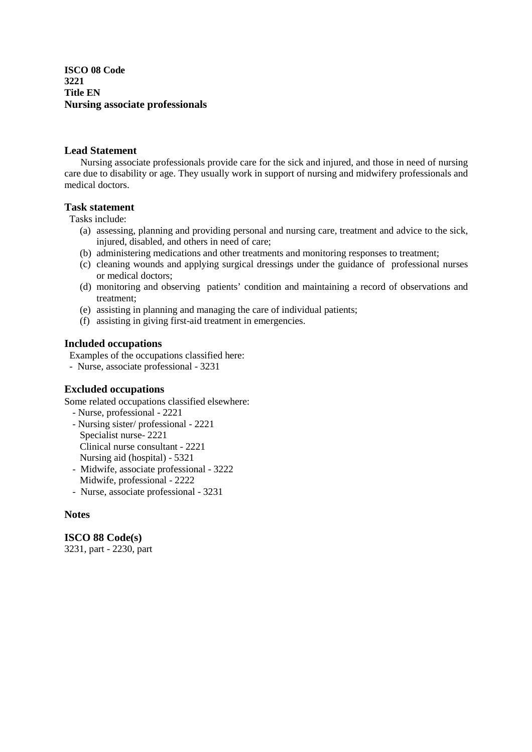**ISCO 08 Code 3221 Title EN Nursing associate professionals**

## **Lead Statement**

Nursing associate professionals provide care for the sick and injured, and those in need of nursing care due to disability or age. They usually work in support of nursing and midwifery professionals and medical doctors.

## **Task statement**

Tasks include:

- (a) assessing, planning and providing personal and nursing care, treatment and advice to the sick, injured, disabled, and others in need of care;
- (b) administering medications and other treatments and monitoring responses to treatment;
- (c) cleaning wounds and applying surgical dressings under the guidance of professional nurses or medical doctors;
- (d) monitoring and observing patients' condition and maintaining a record of observations and treatment;
- (e) assisting in planning and managing the care of individual patients;
- (f) assisting in giving first-aid treatment in emergencies.

## **Included occupations**

Examples of the occupations classified here:

- Nurse, associate professional - 3231

## **Excluded occupations**

Some related occupations classified elsewhere:

- Nurse, professional 2221
- Nursing sister/ professional 2221 Specialist nurse- 2221 Clinical nurse consultant - 2221 Nursing aid (hospital) - 5321
- Midwife, associate professional 3222 Midwife, professional - 2222
- Nurse, associate professional 3231

#### **Notes**

**ISCO 88 Code(s)**  3231, part - 2230, part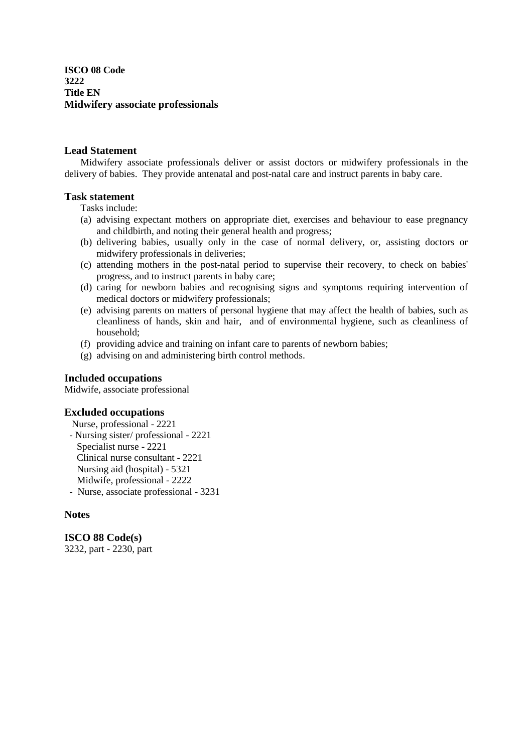**ISCO 08 Code 3222 Title EN Midwifery associate professionals**

## **Lead Statement**

Midwifery associate professionals deliver or assist doctors or midwifery professionals in the delivery of babies. They provide antenatal and post-natal care and instruct parents in baby care.

## **Task statement**

Tasks include:

- (a) advising expectant mothers on appropriate diet, exercises and behaviour to ease pregnancy and childbirth, and noting their general health and progress;
- (b) delivering babies, usually only in the case of normal delivery, or, assisting doctors or midwifery professionals in deliveries;
- (c) attending mothers in the post-natal period to supervise their recovery, to check on babies' progress, and to instruct parents in baby care;
- (d) caring for newborn babies and recognising signs and symptoms requiring intervention of medical doctors or midwifery professionals;
- (e) advising parents on matters of personal hygiene that may affect the health of babies, such as cleanliness of hands, skin and hair, and of environmental hygiene, such as cleanliness of household;
- (f) providing advice and training on infant care to parents of newborn babies;
- (g) advising on and administering birth control methods.

## **Included occupations**

Midwife, associate professional

#### **Excluded occupations**

Nurse, professional - 2221

- Nursing sister/ professional - 2221 Specialist nurse - 2221 Clinical nurse consultant - 2221 Nursing aid (hospital) - 5321 Midwife, professional - 2222 - Nurse, associate professional - 3231

#### **Notes**

**ISCO 88 Code(s)**  3232, part - 2230, part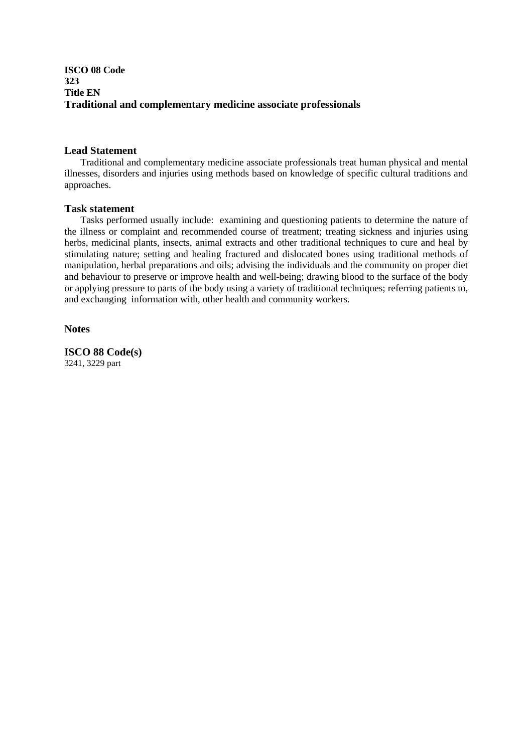## **ISCO 08 Code 323 Title EN Traditional and complementary medicine associate professionals**

## **Lead Statement**

 Traditional and complementary medicine associate professionals treat human physical and mental illnesses, disorders and injuries using methods based on knowledge of specific cultural traditions and approaches.

## **Task statement**

 Tasks performed usually include: examining and questioning patients to determine the nature of the illness or complaint and recommended course of treatment; treating sickness and injuries using herbs, medicinal plants, insects, animal extracts and other traditional techniques to cure and heal by stimulating nature; setting and healing fractured and dislocated bones using traditional methods of manipulation, herbal preparations and oils; advising the individuals and the community on proper diet and behaviour to preserve or improve health and well-being; drawing blood to the surface of the body or applying pressure to parts of the body using a variety of traditional techniques; referring patients to, and exchanging information with, other health and community workers.

## **Notes**

**ISCO 88 Code(s)**  3241, 3229 part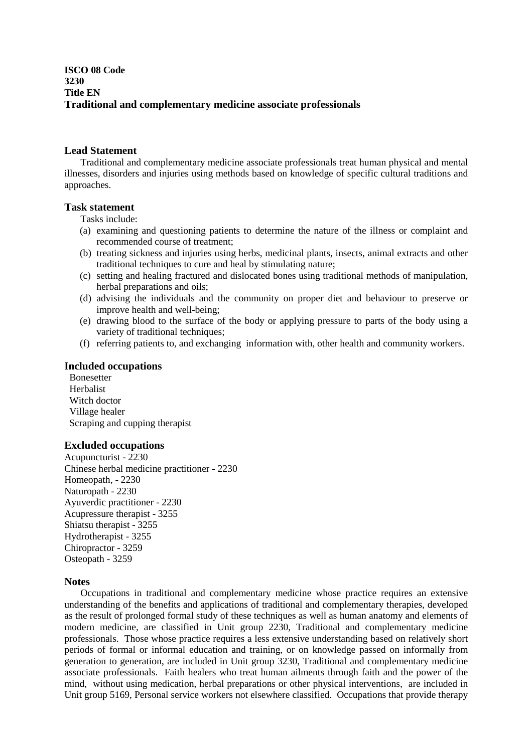## **ISCO 08 Code 3230 Title EN Traditional and complementary medicine associate professionals**

#### **Lead Statement**

 Traditional and complementary medicine associate professionals treat human physical and mental illnesses, disorders and injuries using methods based on knowledge of specific cultural traditions and approaches.

#### **Task statement**

Tasks include:

- (a) examining and questioning patients to determine the nature of the illness or complaint and recommended course of treatment;
- (b) treating sickness and injuries using herbs, medicinal plants, insects, animal extracts and other traditional techniques to cure and heal by stimulating nature;
- (c) setting and healing fractured and dislocated bones using traditional methods of manipulation, herbal preparations and oils;
- (d) advising the individuals and the community on proper diet and behaviour to preserve or improve health and well-being;
- (e) drawing blood to the surface of the body or applying pressure to parts of the body using a variety of traditional techniques;
- (f) referring patients to, and exchanging information with, other health and community workers.

#### **Included occupations**

Bonesetter Herbalist Witch doctor Village healer Scraping and cupping therapist

#### **Excluded occupations**

Acupuncturist - 2230 Chinese herbal medicine practitioner - 2230 Homeopath, - 2230 Naturopath - 2230 Ayuverdic practitioner - 2230 Acupressure therapist - 3255 Shiatsu therapist - 3255 Hydrotherapist - 3255 Chiropractor - 3259 Osteopath - 3259

#### **Notes**

 Occupations in traditional and complementary medicine whose practice requires an extensive understanding of the benefits and applications of traditional and complementary therapies, developed as the result of prolonged formal study of these techniques as well as human anatomy and elements of modern medicine, are classified in Unit group 2230, Traditional and complementary medicine professionals. Those whose practice requires a less extensive understanding based on relatively short periods of formal or informal education and training, or on knowledge passed on informally from generation to generation, are included in Unit group 3230, Traditional and complementary medicine associate professionals. Faith healers who treat human ailments through faith and the power of the mind, without using medication, herbal preparations or other physical interventions, are included in Unit group 5169, Personal service workers not elsewhere classified. Occupations that provide therapy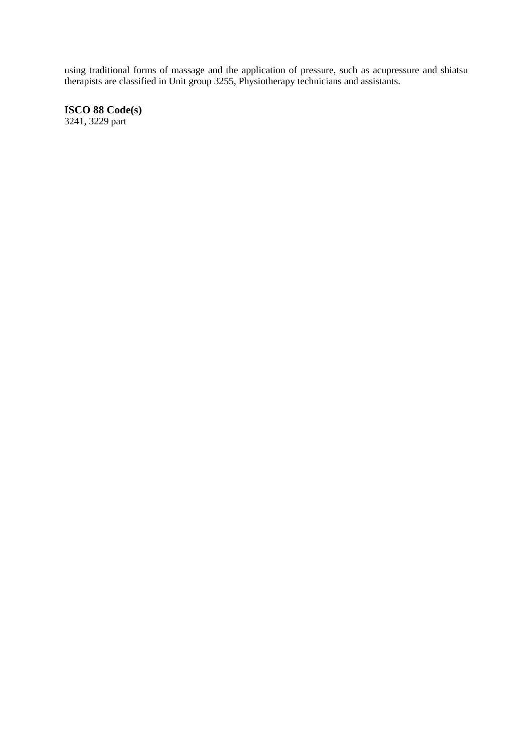using traditional forms of massage and the application of pressure, such as acupressure and shiatsu therapists are classified in Unit group 3255, Physiotherapy technicians and assistants.

**ISCO 88 Code(s)**  3241, 3229 part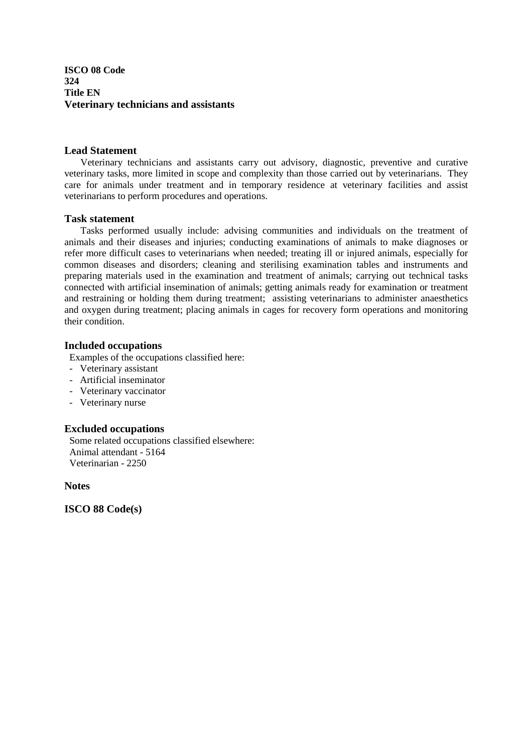**ISCO 08 Code 324 Title EN Veterinary technicians and assistants**

#### **Lead Statement**

Veterinary technicians and assistants carry out advisory, diagnostic, preventive and curative veterinary tasks, more limited in scope and complexity than those carried out by veterinarians. They care for animals under treatment and in temporary residence at veterinary facilities and assist veterinarians to perform procedures and operations.

#### **Task statement**

Tasks performed usually include: advising communities and individuals on the treatment of animals and their diseases and injuries; conducting examinations of animals to make diagnoses or refer more difficult cases to veterinarians when needed; treating ill or injured animals, especially for common diseases and disorders; cleaning and sterilising examination tables and instruments and preparing materials used in the examination and treatment of animals; carrying out technical tasks connected with artificial insemination of animals; getting animals ready for examination or treatment and restraining or holding them during treatment; assisting veterinarians to administer anaesthetics and oxygen during treatment; placing animals in cages for recovery form operations and monitoring their condition.

#### **Included occupations**

Examples of the occupations classified here:

- Veterinary assistant
- Artificial inseminator
- Veterinary vaccinator
- Veterinary nurse

## **Excluded occupations**

Some related occupations classified elsewhere: Animal attendant - 5164 Veterinarian - 2250

**Notes**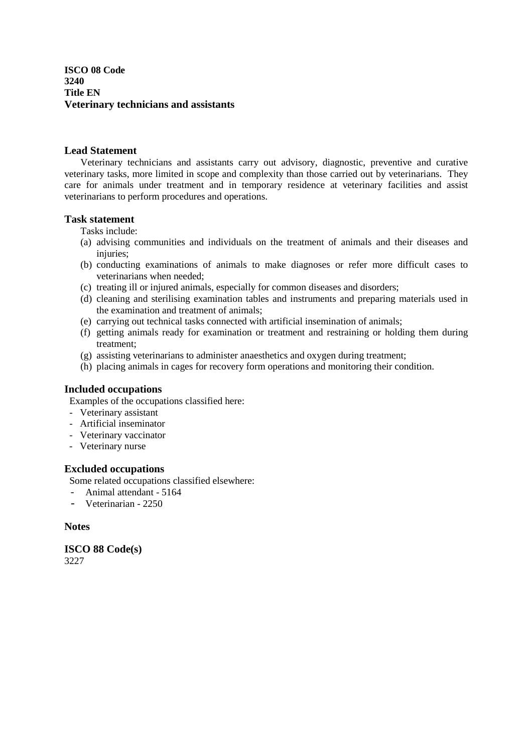**ISCO 08 Code 3240 Title EN Veterinary technicians and assistants**

## **Lead Statement**

Veterinary technicians and assistants carry out advisory, diagnostic, preventive and curative veterinary tasks, more limited in scope and complexity than those carried out by veterinarians. They care for animals under treatment and in temporary residence at veterinary facilities and assist veterinarians to perform procedures and operations.

## **Task statement**

- Tasks include:
- (a) advising communities and individuals on the treatment of animals and their diseases and injuries:
- (b) conducting examinations of animals to make diagnoses or refer more difficult cases to veterinarians when needed;
- (c) treating ill or injured animals, especially for common diseases and disorders;
- (d) cleaning and sterilising examination tables and instruments and preparing materials used in the examination and treatment of animals;
- (e) carrying out technical tasks connected with artificial insemination of animals;
- (f) getting animals ready for examination or treatment and restraining or holding them during treatment;
- (g) assisting veterinarians to administer anaesthetics and oxygen during treatment;
- (h) placing animals in cages for recovery form operations and monitoring their condition.

## **Included occupations**

Examples of the occupations classified here:

- Veterinary assistant
- Artificial inseminator
- Veterinary vaccinator
- Veterinary nurse

## **Excluded occupations**

Some related occupations classified elsewhere:

- Animal attendant 5164
- Veterinarian 2250

## **Notes**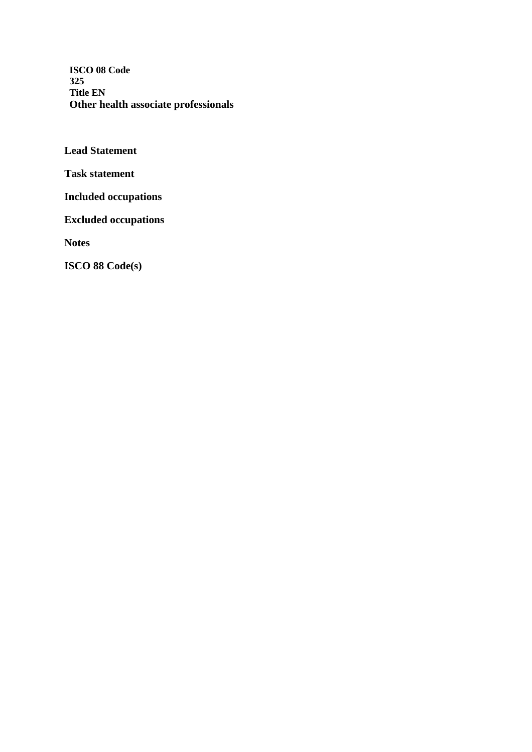**ISCO 08 Code 325 Title EN Other health associate professionals**

**Lead Statement** 

**Task statement** 

**Included occupations** 

**Excluded occupations** 

**Notes**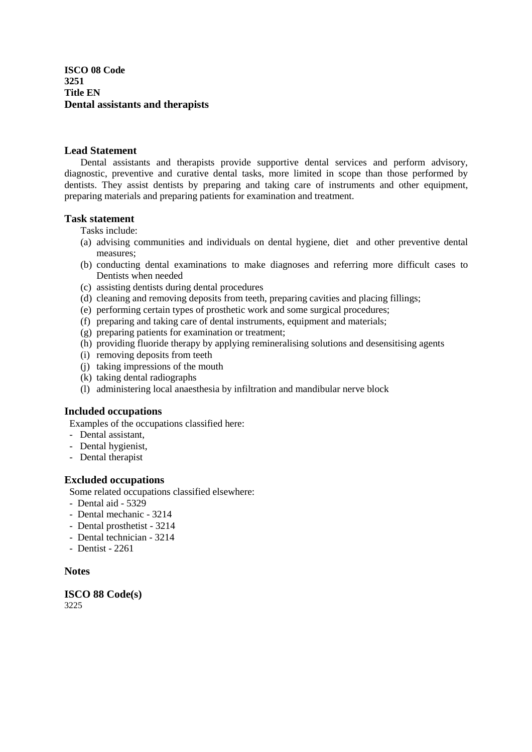**ISCO 08 Code 3251 Title EN Dental assistants and therapists**

#### **Lead Statement**

Dental assistants and therapists provide supportive dental services and perform advisory, diagnostic, preventive and curative dental tasks, more limited in scope than those performed by dentists. They assist dentists by preparing and taking care of instruments and other equipment, preparing materials and preparing patients for examination and treatment.

## **Task statement**

- Tasks include:
- (a) advising communities and individuals on dental hygiene, diet and other preventive dental measures;
- (b) conducting dental examinations to make diagnoses and referring more difficult cases to Dentists when needed
- (c) assisting dentists during dental procedures
- (d) cleaning and removing deposits from teeth, preparing cavities and placing fillings;
- (e) performing certain types of prosthetic work and some surgical procedures;
- (f) preparing and taking care of dental instruments, equipment and materials;
- (g) preparing patients for examination or treatment;
- (h) providing fluoride therapy by applying remineralising solutions and desensitising agents
- (i) removing deposits from teeth
- (j) taking impressions of the mouth
- (k) taking dental radiographs
- (l) administering local anaesthesia by infiltration and mandibular nerve block

## **Included occupations**

Examples of the occupations classified here:

- Dental assistant,
- Dental hygienist,
- Dental therapist

## **Excluded occupations**

Some related occupations classified elsewhere:

- Dental aid 5329
- Dental mechanic 3214
- Dental prosthetist 3214
- Dental technician 3214
- Dentist 2261

## **Notes**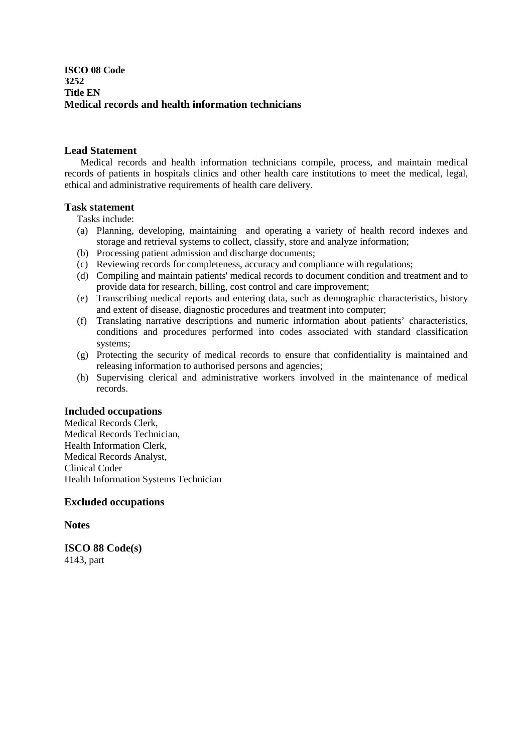## **ISCO 08 Code 3252 Title EN Medical records and health information technicians**

## **Lead Statement**

Medical records and health information technicians compile, process, and maintain medical records of patients in hospitals clinics and other health care institutions to meet the medical, legal, ethical and administrative requirements of health care delivery.

## **Task statement**

Tasks include:

- (a) Planning, developing, maintaining and operating a variety of health record indexes and storage and retrieval systems to collect, classify, store and analyze information;
- (b) Processing patient admission and discharge documents;
- (c) Reviewing records for completeness, accuracy and compliance with regulations;
- (d) Compiling and maintain patients' medical records to document condition and treatment and to provide data for research, billing, cost control and care improvement;
- (e) Transcribing medical reports and entering data, such as demographic characteristics, history and extent of disease, diagnostic procedures and treatment into computer;
- (f) Translating narrative descriptions and numeric information about patients' characteristics, conditions and procedures performed into codes associated with standard classification systems;
- (g) Protecting the security of medical records to ensure that confidentiality is maintained and releasing information to authorised persons and agencies;
- (h) Supervising clerical and administrative workers involved in the maintenance of medical records.

## **Included occupations**

Medical Records Clerk, Medical Records Technician, Health Information Clerk, Medical Records Analyst, Clinical Coder Health Information Systems Technician

## **Excluded occupations**

**Notes** 

**ISCO 88 Code(s)**  4143, part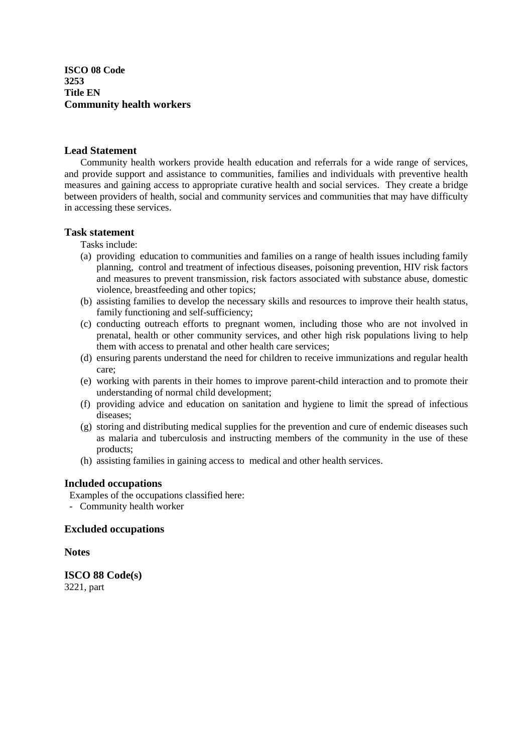**ISCO 08 Code 3253 Title EN Community health workers**

#### **Lead Statement**

Community health workers provide health education and referrals for a wide range of services, and provide support and assistance to communities, families and individuals with preventive health measures and gaining access to appropriate curative health and social services. They create a bridge between providers of health, social and community services and communities that may have difficulty in accessing these services.

## **Task statement**

Tasks include:

- (a) providing education to communities and families on a range of health issues including family planning, control and treatment of infectious diseases, poisoning prevention, HIV risk factors and measures to prevent transmission, risk factors associated with substance abuse, domestic violence, breastfeeding and other topics;
- (b) assisting families to develop the necessary skills and resources to improve their health status, family functioning and self-sufficiency;
- (c) conducting outreach efforts to pregnant women, including those who are not involved in prenatal, health or other community services, and other high risk populations living to help them with access to prenatal and other health care services;
- (d) ensuring parents understand the need for children to receive immunizations and regular health care;
- (e) working with parents in their homes to improve parent-child interaction and to promote their understanding of normal child development;
- (f) providing advice and education on sanitation and hygiene to limit the spread of infectious diseases;
- (g) storing and distributing medical supplies for the prevention and cure of endemic diseases such as malaria and tuberculosis and instructing members of the community in the use of these products;
- (h) assisting families in gaining access to medical and other health services.

#### **Included occupations**

Examples of the occupations classified here:

- Community health worker

## **Excluded occupations**

**Notes** 

**ISCO 88 Code(s)**  3221, part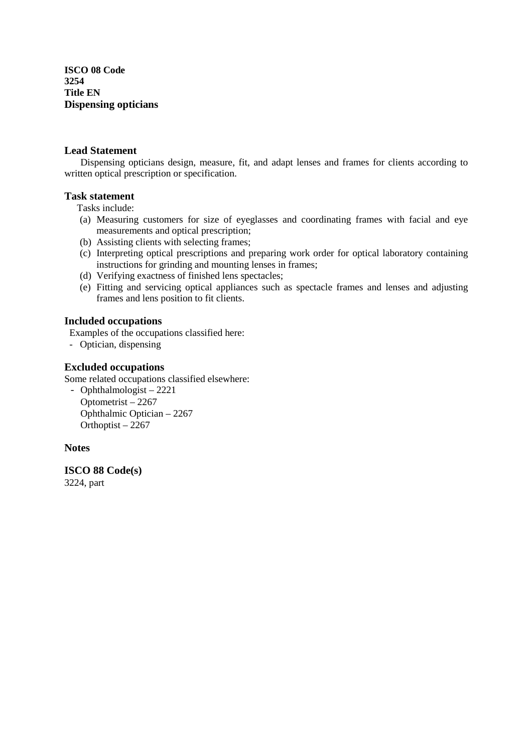**ISCO 08 Code 3254 Title EN Dispensing opticians**

## **Lead Statement**

 Dispensing opticians design, measure, fit, and adapt lenses and frames for clients according to written optical prescription or specification.

## **Task statement**

Tasks include:

- (a) Measuring customers for size of eyeglasses and coordinating frames with facial and eye measurements and optical prescription;
- (b) Assisting clients with selecting frames;
- (c) Interpreting optical prescriptions and preparing work order for optical laboratory containing instructions for grinding and mounting lenses in frames;
- (d) Verifying exactness of finished lens spectacles;
- (e) Fitting and servicing optical appliances such as spectacle frames and lenses and adjusting frames and lens position to fit clients.

## **Included occupations**

Examples of the occupations classified here:

- Optician, dispensing

## **Excluded occupations**

Some related occupations classified elsewhere:

- Ophthalmologist – 2221 Optometrist – 2267 Ophthalmic Optician – 2267 Orthoptist – 2267

## **Notes**

**ISCO 88 Code(s)** 

3224, part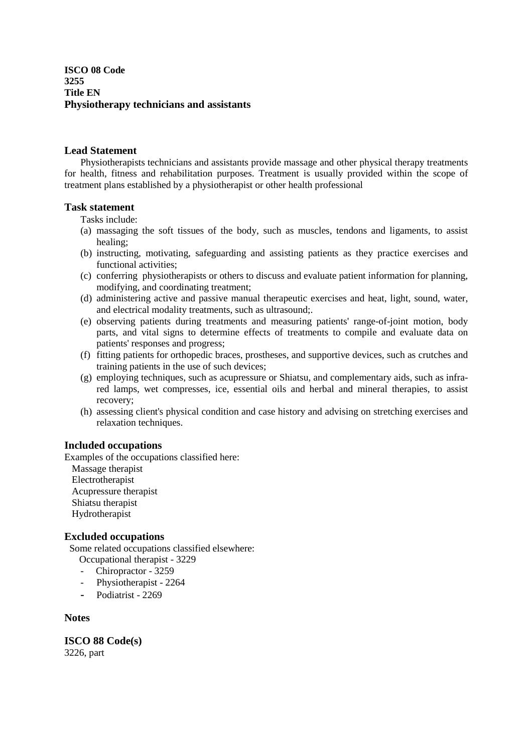## **ISCO 08 Code 3255 Title EN Physiotherapy technicians and assistants**

## **Lead Statement**

Physiotherapists technicians and assistants provide massage and other physical therapy treatments for health, fitness and rehabilitation purposes. Treatment is usually provided within the scope of treatment plans established by a physiotherapist or other health professional

## **Task statement**

Tasks include:

- (a) massaging the soft tissues of the body, such as muscles, tendons and ligaments, to assist healing;
- (b) instructing, motivating, safeguarding and assisting patients as they practice exercises and functional activities;
- (c) conferring physiotherapists or others to discuss and evaluate patient information for planning, modifying, and coordinating treatment;
- (d) administering active and passive manual therapeutic exercises and heat, light, sound, water, and electrical modality treatments, such as ultrasound;.
- (e) observing patients during treatments and measuring patients' range-of-joint motion, body parts, and vital signs to determine effects of treatments to compile and evaluate data on patients' responses and progress;
- (f) fitting patients for orthopedic braces, prostheses, and supportive devices, such as crutches and training patients in the use of such devices;
- (g) employing techniques, such as acupressure or Shiatsu, and complementary aids, such as infrared lamps, wet compresses, ice, essential oils and herbal and mineral therapies, to assist recovery;
- (h) assessing client's physical condition and case history and advising on stretching exercises and relaxation techniques.

## **Included occupations**

Examples of the occupations classified here: Massage therapist Electrotherapist Acupressure therapist

Shiatsu therapist

Hydrotherapist

## **Excluded occupations**

Some related occupations classified elsewhere:

- Occupational therapist 3229
- Chiropractor 3259
- Physiotherapist 2264
- **-** Podiatrist 2269

### **Notes**

**ISCO 88 Code(s)**  3226, part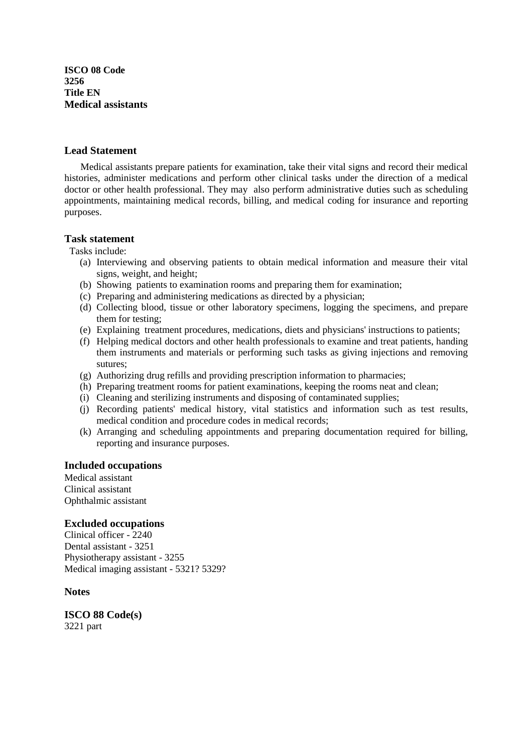**ISCO 08 Code 3256 Title EN Medical assistants**

#### **Lead Statement**

 Medical assistants prepare patients for examination, take their vital signs and record their medical histories, administer medications and perform other clinical tasks under the direction of a medical doctor or other health professional. They may also perform administrative duties such as scheduling appointments, maintaining medical records, billing, and medical coding for insurance and reporting purposes.

#### **Task statement**

Tasks include:

- (a) Interviewing and observing patients to obtain medical information and measure their vital signs, weight, and height;
- (b) Showing patients to examination rooms and preparing them for examination;
- (c) Preparing and administering medications as directed by a physician;
- (d) Collecting blood, tissue or other laboratory specimens, logging the specimens, and prepare them for testing;
- (e) Explaining treatment procedures, medications, diets and physicians' instructions to patients;
- (f) Helping medical doctors and other health professionals to examine and treat patients, handing them instruments and materials or performing such tasks as giving injections and removing sutures;
- (g) Authorizing drug refills and providing prescription information to pharmacies;
- (h) Preparing treatment rooms for patient examinations, keeping the rooms neat and clean;
- (i) Cleaning and sterilizing instruments and disposing of contaminated supplies;
- (j) Recording patients' medical history, vital statistics and information such as test results, medical condition and procedure codes in medical records;
- (k) Arranging and scheduling appointments and preparing documentation required for billing, reporting and insurance purposes.

#### **Included occupations**

Medical assistant Clinical assistant Ophthalmic assistant

#### **Excluded occupations**

Clinical officer - 2240 Dental assistant - 3251 Physiotherapy assistant - 3255 Medical imaging assistant - 5321? 5329?

#### **Notes**

**ISCO 88 Code(s)**  3221 part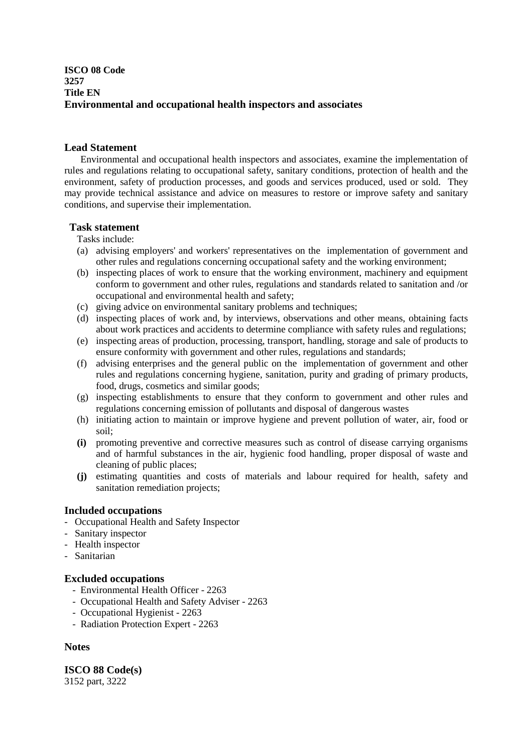## **ISCO 08 Code 3257 Title EN Environmental and occupational health inspectors and associates**

## **Lead Statement**

 Environmental and occupational health inspectors and associates, examine the implementation of rules and regulations relating to occupational safety, sanitary conditions, protection of health and the environment, safety of production processes, and goods and services produced, used or sold. They may provide technical assistance and advice on measures to restore or improve safety and sanitary conditions, and supervise their implementation.

## **Task statement**

Tasks include:

- (a) advising employers' and workers' representatives on the implementation of government and other rules and regulations concerning occupational safety and the working environment;
- (b) inspecting places of work to ensure that the working environment, machinery and equipment conform to government and other rules, regulations and standards related to sanitation and /or occupational and environmental health and safety;
- (c) giving advice on environmental sanitary problems and techniques;
- (d) inspecting places of work and, by interviews, observations and other means, obtaining facts about work practices and accidents to determine compliance with safety rules and regulations;
- (e) inspecting areas of production, processing, transport, handling, storage and sale of products to ensure conformity with government and other rules, regulations and standards;
- (f) advising enterprises and the general public on the implementation of government and other rules and regulations concerning hygiene, sanitation, purity and grading of primary products, food, drugs, cosmetics and similar goods;
- (g) inspecting establishments to ensure that they conform to government and other rules and regulations concerning emission of pollutants and disposal of dangerous wastes
- (h) initiating action to maintain or improve hygiene and prevent pollution of water, air, food or soil;
- **(i)** promoting preventive and corrective measures such as control of disease carrying organisms and of harmful substances in the air, hygienic food handling, proper disposal of waste and cleaning of public places;
- **(j)** estimating quantities and costs of materials and labour required for health, safety and sanitation remediation projects;

## **Included occupations**

- Occupational Health and Safety Inspector
- Sanitary inspector
- Health inspector
- Sanitarian

## **Excluded occupations**

- Environmental Health Officer 2263
- Occupational Health and Safety Adviser 2263
- Occupational Hygienist 2263
- Radiation Protection Expert 2263

## **Notes**

**ISCO 88 Code(s)**  3152 part, 3222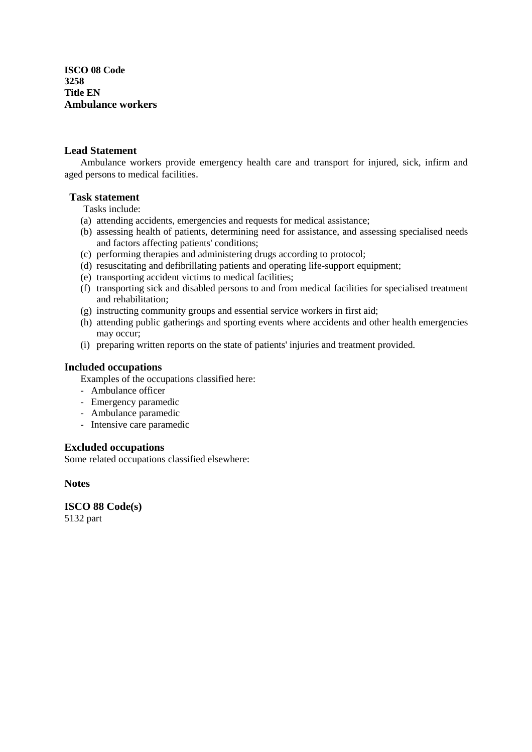**ISCO 08 Code 3258 Title EN Ambulance workers**

## **Lead Statement**

Ambulance workers provide emergency health care and transport for injured, sick, infirm and aged persons to medical facilities.

## **Task statement**

Tasks include:

- (a) attending accidents, emergencies and requests for medical assistance;
- (b) assessing health of patients, determining need for assistance, and assessing specialised needs and factors affecting patients' conditions;
- (c) performing therapies and administering drugs according to protocol;
- (d) resuscitating and defibrillating patients and operating life-support equipment;
- (e) transporting accident victims to medical facilities;
- (f) transporting sick and disabled persons to and from medical facilities for specialised treatment and rehabilitation;
- (g) instructing community groups and essential service workers in first aid;
- (h) attending public gatherings and sporting events where accidents and other health emergencies may occur;
- (i) preparing written reports on the state of patients' injuries and treatment provided.

## **Included occupations**

Examples of the occupations classified here:

- Ambulance officer
- Emergency paramedic
- Ambulance paramedic
- Intensive care paramedic

#### **Excluded occupations**

Some related occupations classified elsewhere:

**Notes** 

**ISCO 88 Code(s)**  5132 part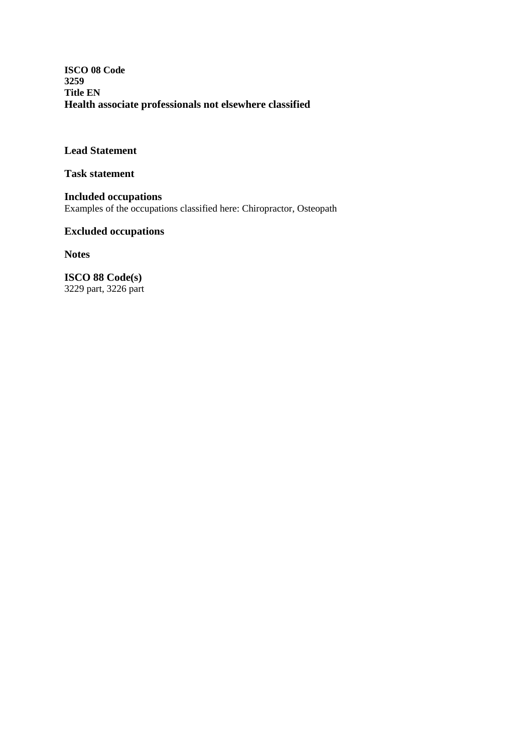**ISCO 08 Code 3259 Title EN Health associate professionals not elsewhere classified**

**Lead Statement** 

**Task statement** 

**Included occupations**  Examples of the occupations classified here: Chiropractor, Osteopath

## **Excluded occupations**

**Notes** 

**ISCO 88 Code(s)**  3229 part, 3226 part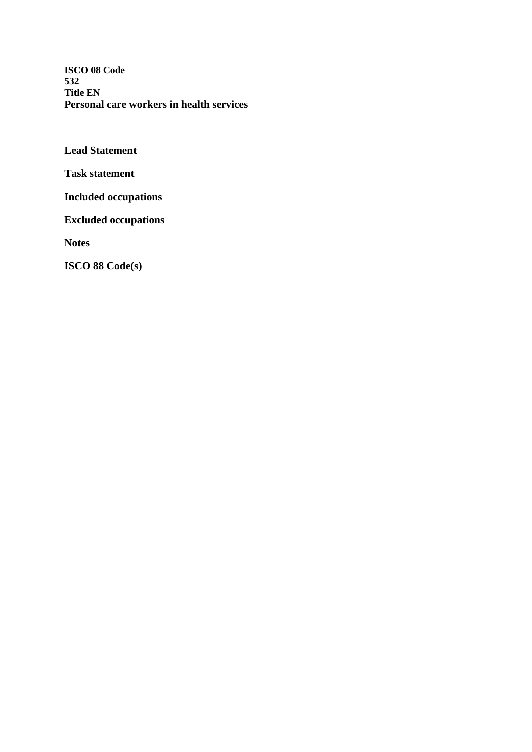**ISCO 08 Code 532 Title EN Personal care workers in health services**

**Lead Statement** 

**Task statement** 

**Included occupations** 

**Excluded occupations** 

**Notes**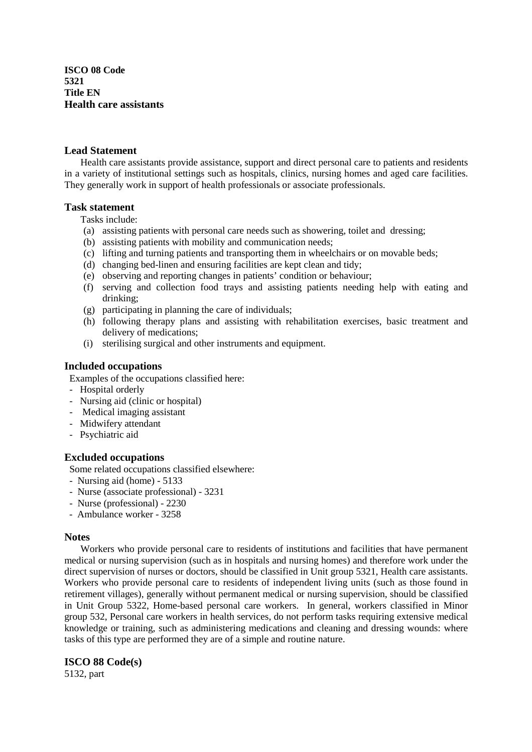**ISCO 08 Code 5321 Title EN Health care assistants**

#### **Lead Statement**

Health care assistants provide assistance, support and direct personal care to patients and residents in a variety of institutional settings such as hospitals, clinics, nursing homes and aged care facilities. They generally work in support of health professionals or associate professionals.

#### **Task statement**

Tasks include:

- (a) assisting patients with personal care needs such as showering, toilet and dressing;
- (b) assisting patients with mobility and communication needs;
- (c) lifting and turning patients and transporting them in wheelchairs or on movable beds;
- (d) changing bed-linen and ensuring facilities are kept clean and tidy;
- (e) observing and reporting changes in patients' condition or behaviour;
- (f) serving and collection food trays and assisting patients needing help with eating and drinking;
- (g) participating in planning the care of individuals;
- (h) following therapy plans and assisting with rehabilitation exercises, basic treatment and delivery of medications;
- (i) sterilising surgical and other instruments and equipment.

#### **Included occupations**

Examples of the occupations classified here:

- Hospital orderly
- Nursing aid (clinic or hospital)
- Medical imaging assistant
- Midwifery attendant
- Psychiatric aid

#### **Excluded occupations**

Some related occupations classified elsewhere:

- Nursing aid (home) 5133
- Nurse (associate professional) 3231
- Nurse (professional) 2230
- Ambulance worker 3258

#### **Notes**

 Workers who provide personal care to residents of institutions and facilities that have permanent medical or nursing supervision (such as in hospitals and nursing homes) and therefore work under the direct supervision of nurses or doctors, should be classified in Unit group 5321, Health care assistants. Workers who provide personal care to residents of independent living units (such as those found in retirement villages), generally without permanent medical or nursing supervision, should be classified in Unit Group 5322, Home-based personal care workers. In general, workers classified in Minor group 532, Personal care workers in health services, do not perform tasks requiring extensive medical knowledge or training, such as administering medications and cleaning and dressing wounds: where tasks of this type are performed they are of a simple and routine nature.

#### **ISCO 88 Code(s)**

5132, part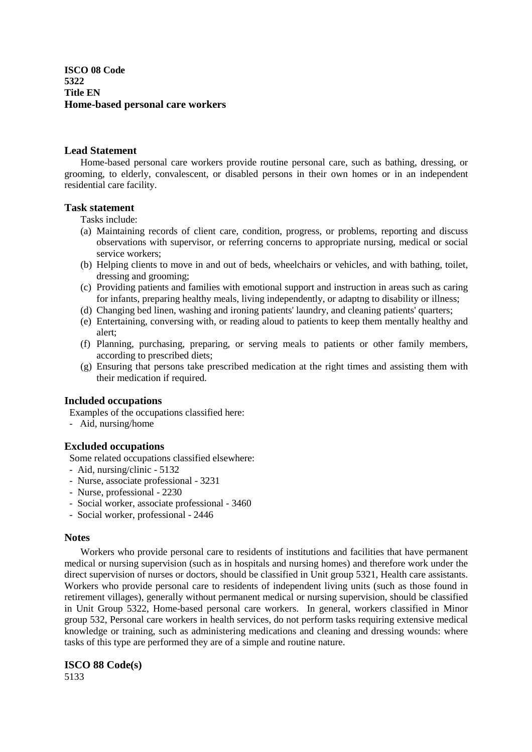**ISCO 08 Code 5322 Title EN Home-based personal care workers**

#### **Lead Statement**

 Home-based personal care workers provide routine personal care, such as bathing, dressing, or grooming, to elderly, convalescent, or disabled persons in their own homes or in an independent residential care facility.

#### **Task statement**

Tasks include:

- (a) Maintaining records of client care, condition, progress, or problems, reporting and discuss observations with supervisor, or referring concerns to appropriate nursing, medical or social service workers;
- (b) Helping clients to move in and out of beds, wheelchairs or vehicles, and with bathing, toilet, dressing and grooming;
- (c) Providing patients and families with emotional support and instruction in areas such as caring for infants, preparing healthy meals, living independently, or adaptng to disability or illness;
- (d) Changing bed linen, washing and ironing patients' laundry, and cleaning patients' quarters;
- (e) Entertaining, conversing with, or reading aloud to patients to keep them mentally healthy and alert;
- (f) Planning, purchasing, preparing, or serving meals to patients or other family members, according to prescribed diets;
- (g) Ensuring that persons take prescribed medication at the right times and assisting them with their medication if required.

#### **Included occupations**

Examples of the occupations classified here:

- Aid, nursing/home

## **Excluded occupations**

Some related occupations classified elsewhere:

- Aid, nursing/clinic 5132
- Nurse, associate professional 3231
- Nurse, professional 2230
- Social worker, associate professional 3460
- Social worker, professional 2446

#### **Notes**

 Workers who provide personal care to residents of institutions and facilities that have permanent medical or nursing supervision (such as in hospitals and nursing homes) and therefore work under the direct supervision of nurses or doctors, should be classified in Unit group 5321, Health care assistants. Workers who provide personal care to residents of independent living units (such as those found in retirement villages), generally without permanent medical or nursing supervision, should be classified in Unit Group 5322, Home-based personal care workers. In general, workers classified in Minor group 532, Personal care workers in health services, do not perform tasks requiring extensive medical knowledge or training, such as administering medications and cleaning and dressing wounds: where tasks of this type are performed they are of a simple and routine nature.

**ISCO 88 Code(s)** 

5133